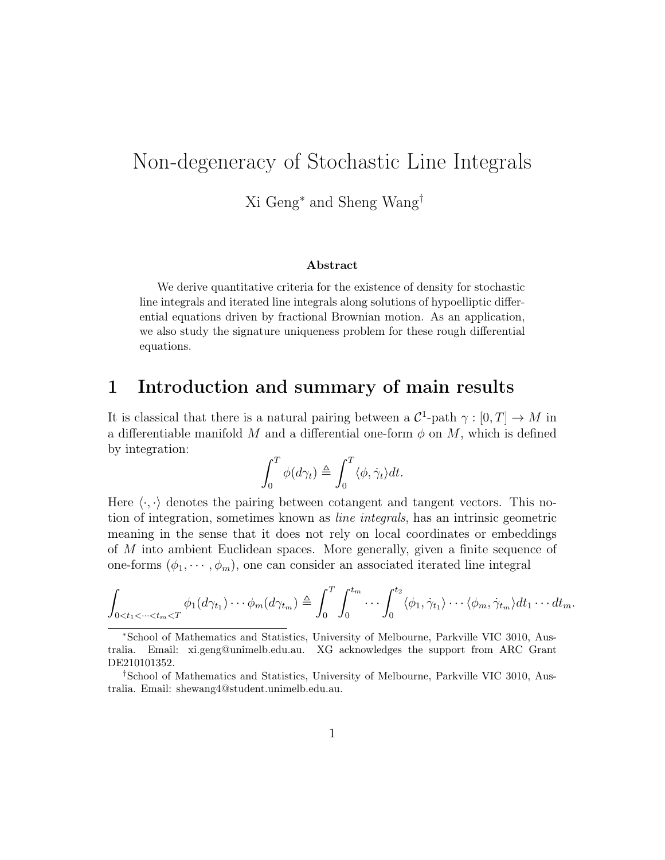# Non-degeneracy of Stochastic Line Integrals

Xi Geng<sup>∗</sup> and Sheng Wang†

#### Abstract

We derive quantitative criteria for the existence of density for stochastic line integrals and iterated line integrals along solutions of hypoelliptic differential equations driven by fractional Brownian motion. As an application, we also study the signature uniqueness problem for these rough differential equations.

### 1 Introduction and summary of main results

It is classical that there is a natural pairing between a  $\mathcal{C}^1$ -path  $\gamma : [0, T] \to M$  in a differentiable manifold M and a differential one-form  $\phi$  on M, which is defined by integration:

$$
\int_0^T \phi(d\gamma_t) \triangleq \int_0^T \langle \phi, \dot{\gamma}_t \rangle dt.
$$

Here  $\langle \cdot, \cdot \rangle$  denotes the pairing between cotangent and tangent vectors. This notion of integration, sometimes known as line integrals, has an intrinsic geometric meaning in the sense that it does not rely on local coordinates or embeddings of M into ambient Euclidean spaces. More generally, given a finite sequence of one-forms  $(\phi_1, \dots, \phi_m)$ , one can consider an associated iterated line integral

$$
\int_{0
$$

<sup>∗</sup>School of Mathematics and Statistics, University of Melbourne, Parkville VIC 3010, Australia. Email: xi.geng@unimelb.edu.au. XG acknowledges the support from ARC Grant DE210101352.

<sup>†</sup>School of Mathematics and Statistics, University of Melbourne, Parkville VIC 3010, Australia. Email: shewang4@student.unimelb.edu.au.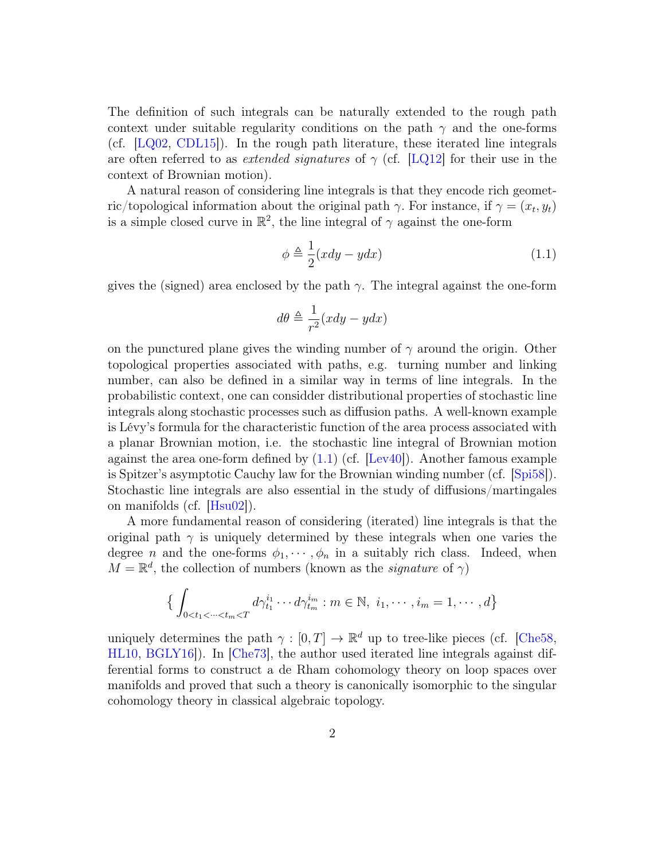The definition of such integrals can be naturally extended to the rough path context under suitable regularity conditions on the path  $\gamma$  and the one-forms (cf.  $[LQ02, CDL15]$  $[LQ02, CDL15]$  $[LQ02, CDL15]$ ). In the rough path literature, these iterated line integrals are often referred to as *extended signatures* of  $\gamma$  (cf. [\[LQ12\]](#page-36-1) for their use in the context of Brownian motion).

A natural reason of considering line integrals is that they encode rich geometric/topological information about the original path  $\gamma$ . For instance, if  $\gamma = (x_t, y_t)$ is a simple closed curve in  $\mathbb{R}^2$ , the line integral of  $\gamma$  against the one-form

<span id="page-1-0"></span>
$$
\phi \triangleq \frac{1}{2}(xdy - ydx) \tag{1.1}
$$

gives the (signed) area enclosed by the path  $\gamma$ . The integral against the one-form

$$
d\theta \triangleq \frac{1}{r^2}(xdy-ydx)
$$

on the punctured plane gives the winding number of  $\gamma$  around the origin. Other topological properties associated with paths, e.g. turning number and linking number, can also be defined in a similar way in terms of line integrals. In the probabilistic context, one can considder distributional properties of stochastic line integrals along stochastic processes such as diffusion paths. A well-known example is Lévy's formula for the characteristic function of the area process associated with a planar Brownian motion, i.e. the stochastic line integral of Brownian motion against the area one-form defined by  $(1.1)$  (cf. [\[Lev40\]](#page-36-2)). Another famous example is Spitzer's asymptotic Cauchy law for the Brownian winding number (cf. [\[Spi58\]](#page-36-3)). Stochastic line integrals are also essential in the study of diffusions/martingales on manifolds (cf. [\[Hsu02\]](#page-36-4)).

A more fundamental reason of considering (iterated) line integrals is that the original path  $\gamma$  is uniquely determined by these integrals when one varies the degree *n* and the one-forms  $\phi_1, \dots, \phi_n$  in a suitably rich class. Indeed, when  $M = \mathbb{R}^d$ , the collection of numbers (known as the *signature* of  $\gamma$ )

$$
\left\{ \int_{0 < t_1 < \dots < t_m < T} d\gamma_{t_1}^{i_1} \dots d\gamma_{t_m}^{i_m} : m \in \mathbb{N}, \ i_1, \dots, i_m = 1, \dots, d \right\}
$$

uniquely determines the path  $\gamma : [0, T] \to \mathbb{R}^d$  up to tree-like pieces (cf. [\[Che58,](#page-35-1) [HL10,](#page-35-2) [BGLY16\]](#page-35-3)). In [\[Che73\]](#page-35-4), the author used iterated line integrals against differential forms to construct a de Rham cohomology theory on loop spaces over manifolds and proved that such a theory is canonically isomorphic to the singular cohomology theory in classical algebraic topology.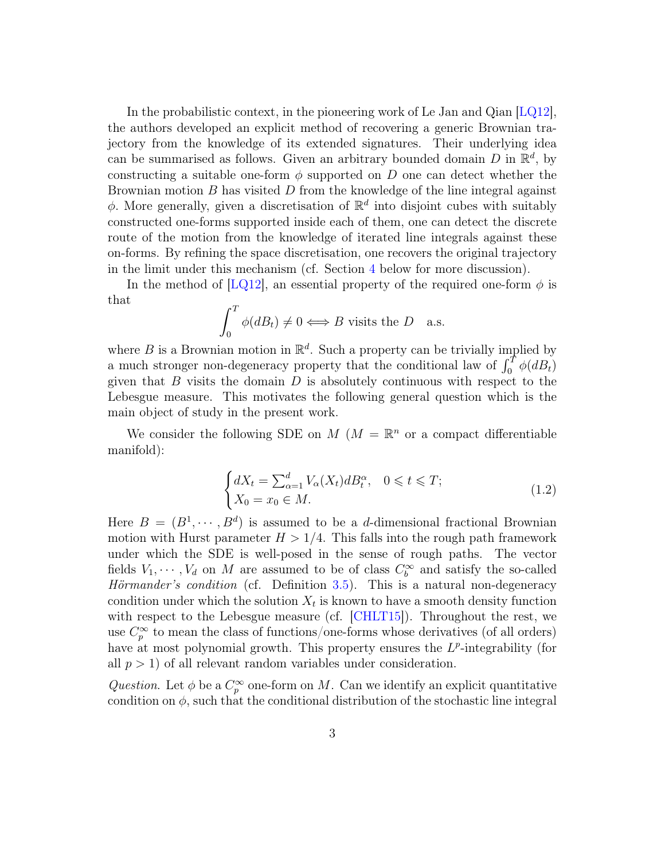In the probabilistic context, in the pioneering work of Le Jan and Qian  $[LQ12]$ , the authors developed an explicit method of recovering a generic Brownian trajectory from the knowledge of its extended signatures. Their underlying idea can be summarised as follows. Given an arbitrary bounded domain D in  $\mathbb{R}^d$ , by constructing a suitable one-form  $\phi$  supported on D one can detect whether the Brownian motion  $B$  has visited  $D$  from the knowledge of the line integral against  $\phi$ . More generally, given a discretisation of  $\mathbb{R}^d$  into disjoint cubes with suitably constructed one-forms supported inside each of them, one can detect the discrete route of the motion from the knowledge of iterated line integrals against these on-forms. By refining the space discretisation, one recovers the original trajectory in the limit under this mechanism (cf. Section [4](#page-30-0) below for more discussion).

In the method of [\[LQ12\]](#page-36-1), an essential property of the required one-form  $\phi$  is that

$$
\int_0^T \phi(dB_t) \neq 0 \Longleftrightarrow B \text{ visits the } D \quad \text{a.s.}
$$

where B is a Brownian motion in  $\mathbb{R}^d$ . Such a property can be trivially implied by a much stronger non-degeneracy property that the conditional law of  $\int_0^T \phi(dB_t)$ given that  $B$  visits the domain  $D$  is absolutely continuous with respect to the Lebesgue measure. This motivates the following general question which is the main object of study in the present work.

We consider the following SDE on  $M$  ( $M = \mathbb{R}^n$  or a compact differentiable manifold):

<span id="page-2-0"></span>
$$
\begin{cases} dX_t = \sum_{\alpha=1}^d V_\alpha(X_t) dB_t^\alpha, & 0 \leq t \leq T; \\ X_0 = x_0 \in M. \end{cases}
$$
\n(1.2)

Here  $B = (B^1, \dots, B^d)$  is assumed to be a *d*-dimensional fractional Brownian motion with Hurst parameter  $H > 1/4$ . This falls into the rough path framework under which the SDE is well-posed in the sense of rough paths. The vector fields  $V_1, \dots, V_d$  on M are assumed to be of class  $C_b^{\infty}$  and satisfy the so-called Hörmander's condition (cf. Definition [3.5\)](#page-13-0). This is a natural non-degeneracy condition under which the solution  $X_t$  is known to have a smooth density function with respect to the Lebesgue measure (cf. [\[CHLT15\]](#page-35-5)). Throughout the rest, we use  $C_p^{\infty}$  to mean the class of functions/one-forms whose derivatives (of all orders) have at most polynomial growth. This property ensures the  $L^p$ -integrability (for all  $p > 1$  of all relevant random variables under consideration.

Question. Let  $\phi$  be a  $C_p^{\infty}$  one-form on M. Can we identify an explicit quantitative condition on  $\phi$ , such that the conditional distribution of the stochastic line integral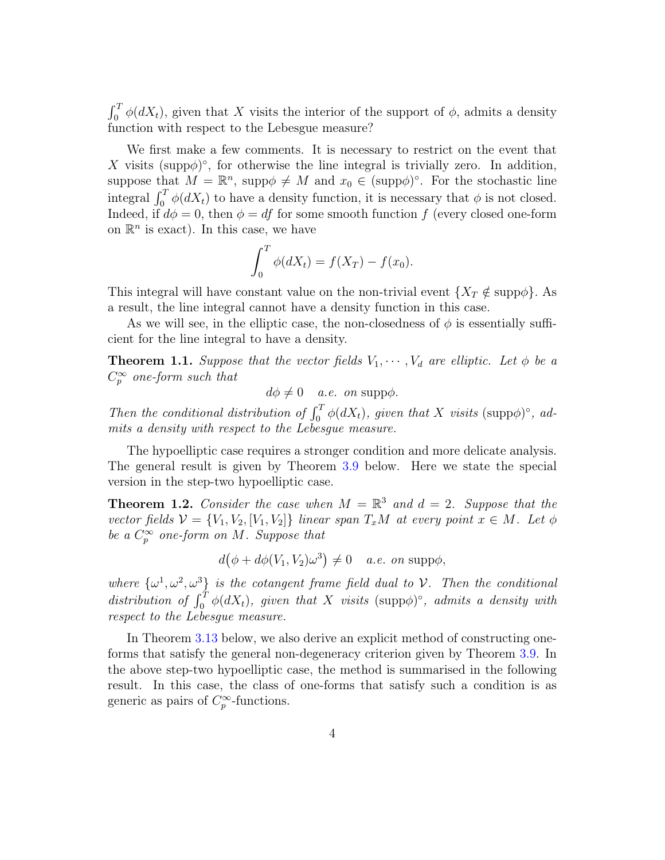$\int_0^T \phi(dX_t)$ , given that X visits the interior of the support of  $\phi$ , admits a density function with respect to the Lebesgue measure?

We first make a few comments. It is necessary to restrict on the event that X visits (supp $\phi$ )°, for otherwise the line integral is trivially zero. In addition, suppose that  $M = \mathbb{R}^n$ , supp $\phi \neq M$  and  $x_0 \in (\text{supp}\phi)^\circ$ . For the stochastic line integral  $\int_0^T \phi(dX_t)$  to have a density function, it is necessary that  $\phi$  is not closed. Indeed, if  $d\phi = 0$ , then  $\phi = df$  for some smooth function f (every closed one-form on  $\mathbb{R}^n$  is exact). In this case, we have

$$
\int_0^T \phi(dX_t) = f(X_T) - f(x_0).
$$

This integral will have constant value on the non-trivial event  $\{X_T \notin \text{supp}\phi\}$ . As a result, the line integral cannot have a density function in this case.

As we will see, in the elliptic case, the non-closedness of  $\phi$  is essentially sufficient for the line integral to have a density.

**Theorem 1.1.** Suppose that the vector fields  $V_1, \dots, V_d$  are elliptic. Let  $\phi$  be a  $C_p^{\infty}$  one-form such that

 $d\phi \neq 0$  a.e. on supp $\phi$ .

Then the conditional distribution of  $\int_0^T \phi(dX_t)$ , given that X visits (supp $\phi$ )°, admits a density with respect to the Lebesgue measure.

The hypoelliptic case requires a stronger condition and more delicate analysis. The general result is given by Theorem [3.9](#page-16-0) below. Here we state the special version in the step-two hypoelliptic case.

<span id="page-3-0"></span>**Theorem 1.2.** Consider the case when  $M = \mathbb{R}^3$  and  $d = 2$ . Suppose that the vector fields  $V = \{V_1, V_2, [V_1, V_2]\}\$ linear span  $T_xM$  at every point  $x \in M$ . Let  $\phi$ be a  $C_p^{\infty}$  one-form on M. Suppose that

$$
d(\phi + d\phi(V_1, V_2)\omega^3) \neq 0 \quad a.e. on \text{ supp}\phi,
$$

where  $\{\omega^1, \omega^2, \omega^3\}$  is the cotangent frame field dual to V. Then the conditional distribution of  $\int_0^T \phi(dX_t)$ , given that X visits (supp $\phi$ )°, admits a density with respect to the Lebesgue measure.

In Theorem [3.13](#page-20-0) below, we also derive an explicit method of constructing oneforms that satisfy the general non-degeneracy criterion given by Theorem [3.9.](#page-16-0) In the above step-two hypoelliptic case, the method is summarised in the following result. In this case, the class of one-forms that satisfy such a condition is as generic as pairs of  $C_p^{\infty}$ -functions.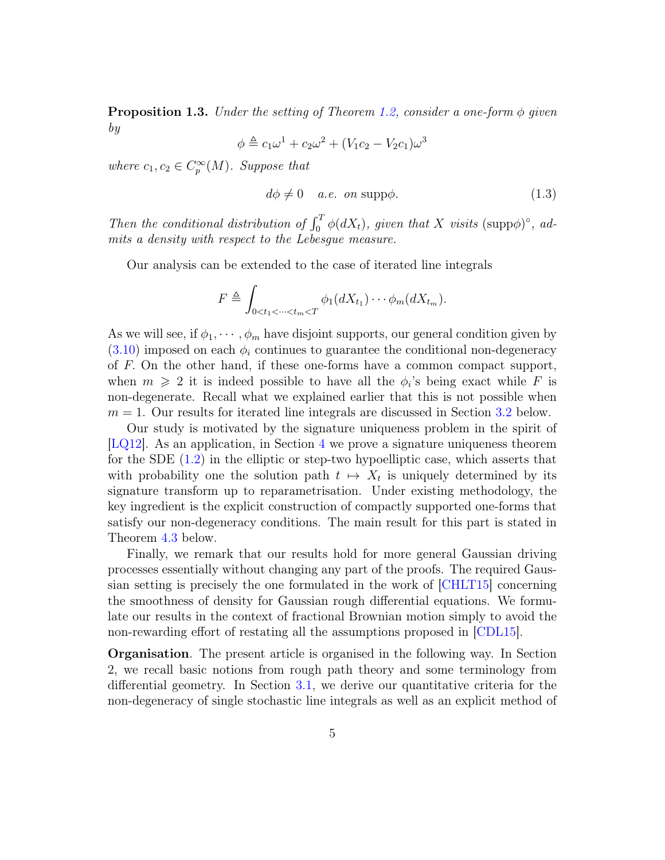**Proposition 1.3.** Under the setting of Theorem [1.2,](#page-3-0) consider a one-form  $\phi$  given by 3

$$
\phi \triangleq c_1 \omega^1 + c_2 \omega^2 + (V_1 c_2 - V_2 c_1) \omega
$$

where  $c_1, c_2 \in C_p^{\infty}(M)$ . Suppose that

$$
d\phi \neq 0 \quad a.e. \text{ on } \text{supp}\phi. \tag{1.3}
$$

Then the conditional distribution of  $\int_0^T \phi(dX_t)$ , given that X visits (supp $\phi$ )°, admits a density with respect to the Lebesgue measure.

Our analysis can be extended to the case of iterated line integrals

$$
F \triangleq \int_{0 < t_1 < \dots < t_m < T} \phi_1(dX_{t_1}) \dots \phi_m(dX_{t_m}).
$$

As we will see, if  $\phi_1, \cdots, \phi_m$  have disjoint supports, our general condition given by  $(3.10)$  imposed on each  $\phi_i$  continues to guarantee the conditional non-degeneracy of F. On the other hand, if these one-forms have a common compact support, when  $m \geqslant 2$  it is indeed possible to have all the  $\phi_i$ 's being exact while F is non-degenerate. Recall what we explained earlier that this is not possible when  $m = 1$ . Our results for iterated line integrals are discussed in Section [3.2](#page-22-0) below.

Our study is motivated by the signature uniqueness problem in the spirit of [\[LQ12\]](#page-36-1). As an application, in Section [4](#page-30-0) we prove a signature uniqueness theorem for the SDE  $(1.2)$  in the elliptic or step-two hypoelliptic case, which asserts that with probability one the solution path  $t \mapsto X_t$  is uniquely determined by its signature transform up to reparametrisation. Under existing methodology, the key ingredient is the explicit construction of compactly supported one-forms that satisfy our non-degeneracy conditions. The main result for this part is stated in Theorem [4.3](#page-31-0) below.

Finally, we remark that our results hold for more general Gaussian driving processes essentially without changing any part of the proofs. The required Gaussian setting is precisely the one formulated in the work of [\[CHLT15\]](#page-35-5) concerning the smoothness of density for Gaussian rough differential equations. We formulate our results in the context of fractional Brownian motion simply to avoid the non-rewarding effort of restating all the assumptions proposed in [\[CDL15\]](#page-35-0).

Organisation. The present article is organised in the following way. In Section 2, we recall basic notions from rough path theory and some terminology from differential geometry. In Section [3.1,](#page-10-0) we derive our quantitative criteria for the non-degeneracy of single stochastic line integrals as well as an explicit method of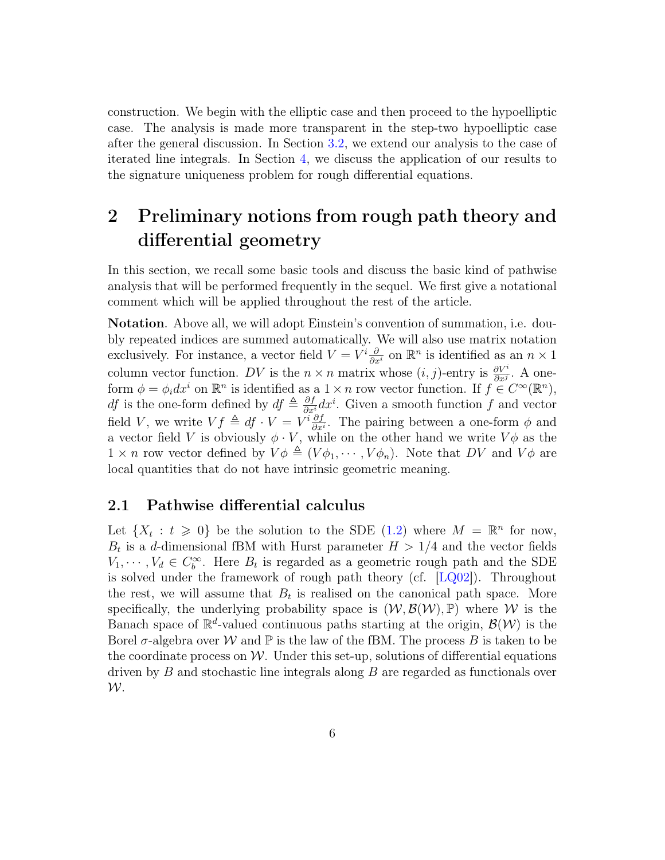construction. We begin with the elliptic case and then proceed to the hypoelliptic case. The analysis is made more transparent in the step-two hypoelliptic case after the general discussion. In Section [3.2,](#page-22-0) we extend our analysis to the case of iterated line integrals. In Section [4,](#page-30-0) we discuss the application of our results to the signature uniqueness problem for rough differential equations.

## 2 Preliminary notions from rough path theory and differential geometry

In this section, we recall some basic tools and discuss the basic kind of pathwise analysis that will be performed frequently in the sequel. We first give a notational comment which will be applied throughout the rest of the article.

Notation. Above all, we will adopt Einstein's convention of summation, i.e. doubly repeated indices are summed automatically. We will also use matrix notation exclusively. For instance, a vector field  $V = V^i \frac{\partial}{\partial x^i}$  on  $\mathbb{R}^n$  is identified as an  $n \times 1$ column vector function. DV is the  $n \times n$  matrix whose  $(i, j)$ -entry is  $\frac{\partial V^i}{\partial x^j}$ . A oneform  $\phi = \phi_i dx^i$  on  $\mathbb{R}^n$  is identified as a  $1 \times n$  row vector function. If  $f \in C^{\infty}(\mathbb{R}^n)$ , df is the one-form defined by  $df \triangleq \frac{\partial f}{\partial x} dx^i$ . Given a smooth function f and vector field V, we write  $Vf \triangleq df \cdot V = V^i \frac{\partial f}{\partial x^i}$  $\frac{\partial f}{\partial x^i}$ . The pairing between a one-form  $\phi$  and a vector field V is obviously  $\phi \cdot V$ , while on the other hand we write  $V\phi$  as the  $1 \times n$  row vector defined by  $V\phi \triangleq (V\phi_1, \dots, V\phi_n)$ . Note that DV and  $V\phi$  are local quantities that do not have intrinsic geometric meaning.

#### 2.1 Pathwise differential calculus

Let  $\{X_t : t \geq 0\}$  be the solution to the SDE [\(1.2\)](#page-2-0) where  $M = \mathbb{R}^n$  for now,  $B_t$  is a d-dimensional fBM with Hurst parameter  $H > 1/4$  and the vector fields  $V_1, \dots, V_d \in C_b^{\infty}$ . Here  $B_t$  is regarded as a geometric rough path and the SDE is solved under the framework of rough path theory (cf. [\[LQ02\]](#page-36-0)). Throughout the rest, we will assume that  $B_t$  is realised on the canonical path space. More specifically, the underlying probability space is  $(W, \mathcal{B}(W), \mathbb{P})$  where W is the Banach space of  $\mathbb{R}^d$ -valued continuous paths starting at the origin,  $\mathcal{B}(\mathcal{W})$  is the Borel  $\sigma$ -algebra over W and  $\mathbb P$  is the law of the fBM. The process B is taken to be the coordinate process on  $W$ . Under this set-up, solutions of differential equations driven by B and stochastic line integrals along B are regarded as functionals over  $W$ .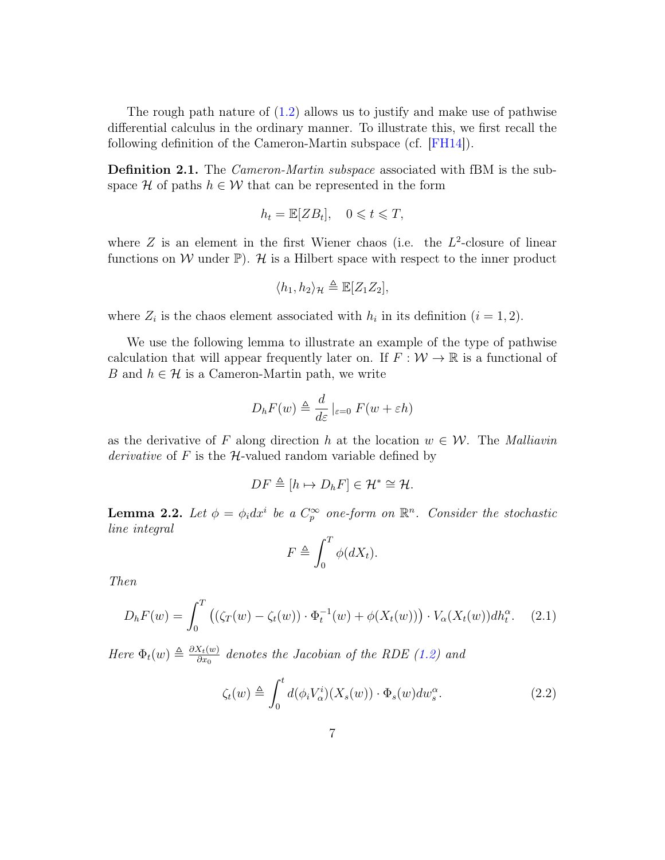The rough path nature of [\(1.2\)](#page-2-0) allows us to justify and make use of pathwise differential calculus in the ordinary manner. To illustrate this, we first recall the following definition of the Cameron-Martin subspace (cf. [\[FH14\]](#page-35-6)).

**Definition 2.1.** The *Cameron-Martin subspace* associated with fBM is the subspace H of paths  $h \in \mathcal{W}$  that can be represented in the form

$$
h_t = \mathbb{E}[ZB_t], \quad 0 \leq t \leq T,
$$

where  $Z$  is an element in the first Wiener chaos (i.e. the  $L^2$ -closure of linear functions on W under  $\mathbb{P}$ ). H is a Hilbert space with respect to the inner product

$$
\langle h_1, h_2 \rangle_{\mathcal{H}} \triangleq \mathbb{E}[Z_1 Z_2],
$$

where  $Z_i$  is the chaos element associated with  $h_i$  in its definition  $(i = 1, 2)$ .

We use the following lemma to illustrate an example of the type of pathwise calculation that will appear frequently later on. If  $F: \mathcal{W} \to \mathbb{R}$  is a functional of B and  $h \in \mathcal{H}$  is a Cameron-Martin path, we write

$$
D_h F(w) \triangleq \frac{d}{d\varepsilon} \left|_{\varepsilon=0} F(w + \varepsilon h) \right|
$$

as the derivative of F along direction h at the location  $w \in \mathcal{W}$ . The Malliavin *derivative* of F is the  $H$ -valued random variable defined by

$$
DF \triangleq [h \mapsto D_h F] \in \mathcal{H}^* \cong \mathcal{H}.
$$

<span id="page-6-2"></span>**Lemma 2.2.** Let  $\phi = \phi_i dx^i$  be a  $C_p^{\infty}$  one-form on  $\mathbb{R}^n$ . Consider the stochastic line integral

$$
F \triangleq \int_0^T \phi(dX_t).
$$

Then

<span id="page-6-1"></span>
$$
D_h F(w) = \int_0^T \left( (\zeta_T(w) - \zeta_t(w)) \cdot \Phi_t^{-1}(w) + \phi(X_t(w)) \right) \cdot V_\alpha(X_t(w)) dh_t^\alpha. \tag{2.1}
$$

Here  $\Phi_t(w) \triangleq \frac{\partial X_t(w)}{\partial x_0}$  $\frac{\partial \mathcal{X}_t(w)}{\partial x_0}$  denotes the Jacobian of the RDE [\(1.2\)](#page-2-0) and

<span id="page-6-0"></span>
$$
\zeta_t(w) \triangleq \int_0^t d(\phi_i V_\alpha^i)(X_s(w)) \cdot \Phi_s(w) dw_s^\alpha.
$$
 (2.2)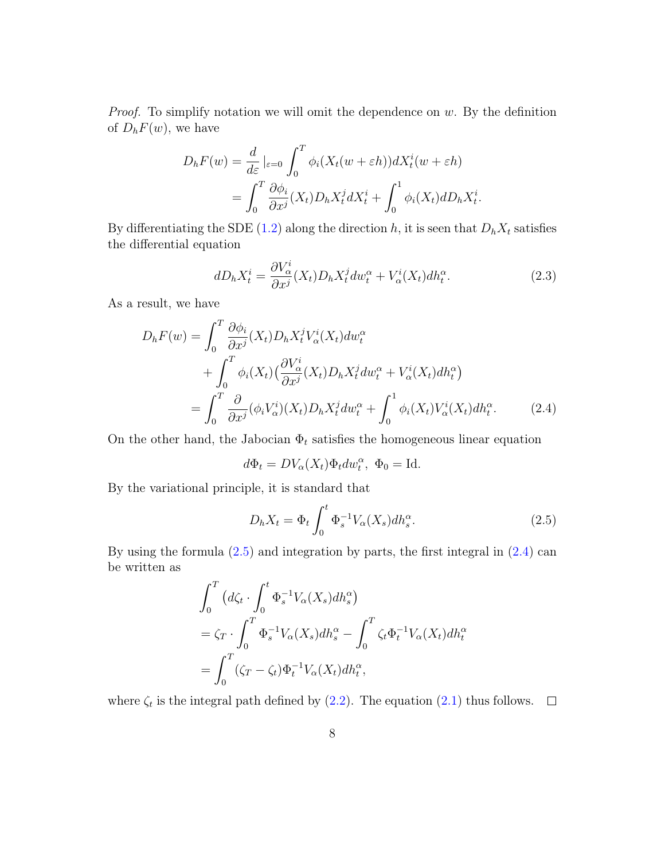*Proof.* To simplify notation we will omit the dependence on  $w$ . By the definition of  $D_hF(w)$ , we have

$$
D_h F(w) = \frac{d}{d\varepsilon} \Big|_{\varepsilon=0} \int_0^T \phi_i (X_t(w + \varepsilon h)) dX_t^i(w + \varepsilon h)
$$
  
= 
$$
\int_0^T \frac{\partial \phi_i}{\partial x^j} (X_t) D_h X_t^j dX_t^i + \int_0^1 \phi_i (X_t) dD_h X_t^i.
$$

By differentiating the SDE [\(1.2\)](#page-2-0) along the direction h, it is seen that  $D_h X_t$  satisfies the differential equation

$$
dD_h X_t^i = \frac{\partial V_\alpha^i}{\partial x^j} (X_t) D_h X_t^j dw_t^\alpha + V_\alpha^i (X_t) dh_t^\alpha.
$$
\n(2.3)

As a result, we have

$$
D_h F(w) = \int_0^T \frac{\partial \phi_i}{\partial x^j} (X_t) D_h X_t^j V_\alpha^i(X_t) dw_t^\alpha
$$
  
+ 
$$
\int_0^T \phi_i(X_t) \left( \frac{\partial V_\alpha^i}{\partial x^j} (X_t) D_h X_t^j dw_t^\alpha + V_\alpha^i(X_t) dh_t^\alpha \right)
$$
  
= 
$$
\int_0^T \frac{\partial}{\partial x^j} (\phi_i V_\alpha^i)(X_t) D_h X_t^j dw_t^\alpha + \int_0^1 \phi_i(X_t) V_\alpha^i(X_t) dh_t^\alpha.
$$
 (2.4)

On the other hand, the Jabocian  $\Phi_t$  satisfies the homogeneous linear equation

<span id="page-7-1"></span>
$$
d\Phi_t = DV_\alpha(X_t)\Phi_t dw_t^\alpha, \ \Phi_0 = \text{Id}.
$$

By the variational principle, it is standard that

<span id="page-7-0"></span>
$$
D_h X_t = \Phi_t \int_0^t \Phi_s^{-1} V_\alpha(X_s) dh_s^\alpha.
$$
\n(2.5)

By using the formula  $(2.5)$  and integration by parts, the first integral in  $(2.4)$  can be written as

$$
\int_0^T \left( d\zeta_t \cdot \int_0^t \Phi_s^{-1} V_\alpha(X_s) dh_s^\alpha \right)
$$
  
=  $\zeta_T \cdot \int_0^T \Phi_s^{-1} V_\alpha(X_s) dh_s^\alpha - \int_0^T \zeta_t \Phi_t^{-1} V_\alpha(X_t) dh_t^\alpha$   
=  $\int_0^T (\zeta_T - \zeta_t) \Phi_t^{-1} V_\alpha(X_t) dh_t^\alpha$ ,

where  $\zeta_t$  is the integral path defined by [\(2.2\)](#page-6-0). The equation [\(2.1\)](#page-6-1) thus follows.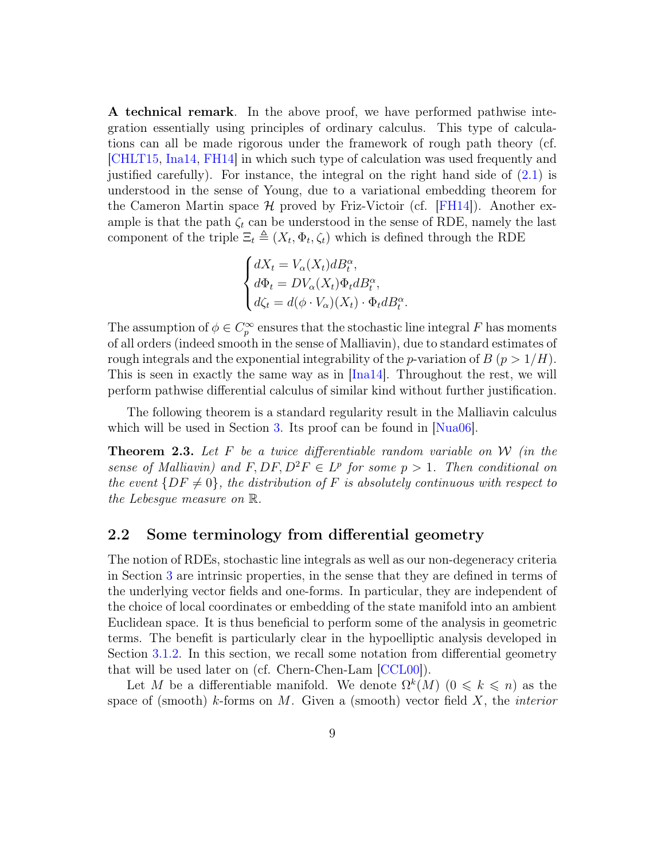A technical remark. In the above proof, we have performed pathwise integration essentially using principles of ordinary calculus. This type of calculations can all be made rigorous under the framework of rough path theory (cf. [\[CHLT15,](#page-35-5) [Ina14,](#page-36-5) [FH14\]](#page-35-6) in which such type of calculation was used frequently and justified carefully). For instance, the integral on the right hand side of  $(2.1)$  is understood in the sense of Young, due to a variational embedding theorem for the Cameron Martin space  $\mathcal H$  proved by Friz-Victoir (cf. [\[FH14\]](#page-35-6)). Another example is that the path  $\zeta_t$  can be understood in the sense of RDE, namely the last component of the triple  $\Xi_t \triangleq (X_t, \Phi_t, \zeta_t)$  which is defined through the RDE

$$
\begin{cases} dX_t = V_\alpha(X_t)dB_t^\alpha, \\ d\Phi_t = DV_\alpha(X_t)\Phi_t dB_t^\alpha, \\ d\zeta_t = d(\phi \cdot V_\alpha)(X_t) \cdot \Phi_t dB_t^\alpha \end{cases}
$$

The assumption of  $\phi \in C_p^{\infty}$  ensures that the stochastic line integral F has moments of all orders (indeed smooth in the sense of Malliavin), due to standard estimates of rough integrals and the exponential integrability of the p-variation of  $B(p > 1/H)$ . This is seen in exactly the same way as in  $[Ina14]$ . Throughout the rest, we will perform pathwise differential calculus of similar kind without further justification.

.

The following theorem is a standard regularity result in the Malliavin calculus which will be used in Section [3.](#page-10-1) Its proof can be found in  $Nua06$ .

<span id="page-8-0"></span>**Theorem 2.3.** Let F be a twice differentiable random variable on W (in the sense of Malliavin) and  $F, DF, D^2F \in L^p$  for some  $p > 1$ . Then conditional on the event  $\{DF \neq 0\}$ , the distribution of F is absolutely continuous with respect to the Lebesgue measure on R.

#### 2.2 Some terminology from differential geometry

The notion of RDEs, stochastic line integrals as well as our non-degeneracy criteria in Section [3](#page-10-1) are intrinsic properties, in the sense that they are defined in terms of the underlying vector fields and one-forms. In particular, they are independent of the choice of local coordinates or embedding of the state manifold into an ambient Euclidean space. It is thus beneficial to perform some of the analysis in geometric terms. The benefit is particularly clear in the hypoelliptic analysis developed in Section [3.1.2.](#page-13-1) In this section, we recall some notation from differential geometry that will be used later on (cf. Chern-Chen-Lam [\[CCL00\]](#page-35-7)).

Let M be a differentiable manifold. We denote  $\Omega^k(M)$   $(0 \le k \le n)$  as the space of (smooth) k-forms on  $M$ . Given a (smooth) vector field  $X$ , the *interior*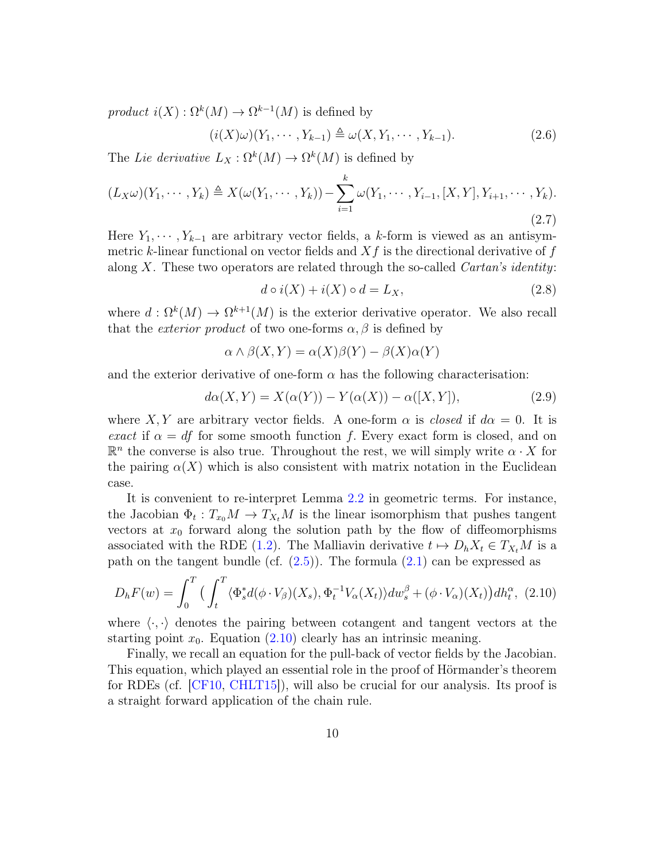product  $i(X)$ :  $\Omega^k(M) \to \Omega^{k-1}(M)$  is defined by

$$
(i(X)\omega)(Y_1,\cdots,Y_{k-1}) \triangleq \omega(X,Y_1,\cdots,Y_{k-1}).
$$
\n(2.6)

The Lie derivative  $L_X : \Omega^k(M) \to \Omega^k(M)$  is defined by

<span id="page-9-1"></span>
$$
(L_X\omega)(Y_1, \cdots, Y_k) \triangleq X(\omega(Y_1, \cdots, Y_k)) - \sum_{i=1}^k \omega(Y_1, \cdots, Y_{i-1}, [X, Y], Y_{i+1}, \cdots, Y_k).
$$
\n(2.7)

Here  $Y_1, \dots, Y_{k-1}$  are arbitrary vector fields, a k-form is viewed as an antisymmetric k-linear functional on vector fields and  $Xf$  is the directional derivative of f along X. These two operators are related through the so-called *Cartan's identity:* 

<span id="page-9-2"></span>
$$
d \circ i(X) + i(X) \circ d = L_X,\tag{2.8}
$$

where  $d: \Omega^k(M) \to \Omega^{k+1}(M)$  is the exterior derivative operator. We also recall that the *exterior product* of two one-forms  $\alpha$ ,  $\beta$  is defined by

$$
\alpha \wedge \beta(X, Y) = \alpha(X)\beta(Y) - \beta(X)\alpha(Y)
$$

and the exterior derivative of one-form  $\alpha$  has the following characterisation:

$$
d\alpha(X,Y) = X(\alpha(Y)) - Y(\alpha(X)) - \alpha([X,Y]), \qquad (2.9)
$$

where X, Y are arbitrary vector fields. A one-form  $\alpha$  is *closed* if  $d\alpha = 0$ . It is exact if  $\alpha = df$  for some smooth function f. Every exact form is closed, and on  $\mathbb{R}^n$  the converse is also true. Throughout the rest, we will simply write  $\alpha \cdot X$  for the pairing  $\alpha(X)$  which is also consistent with matrix notation in the Euclidean case.

It is convenient to re-interpret Lemma [2.2](#page-6-2) in geometric terms. For instance, the Jacobian  $\Phi_t: T_{x_0}M \to T_{X_t}M$  is the linear isomorphism that pushes tangent vectors at  $x_0$  forward along the solution path by the flow of diffeomorphisms associated with the RDE [\(1.2\)](#page-2-0). The Malliavin derivative  $t \mapsto D_h X_t \in T_{X_t}M$  is a path on the tangent bundle (cf.  $(2.5)$ ). The formula  $(2.1)$  can be expressed as

<span id="page-9-0"></span>
$$
D_h F(w) = \int_0^T \left( \int_t^T \langle \Phi_s^* d(\phi \cdot V_\beta)(X_s), \Phi_t^{-1} V_\alpha(X_t) \rangle dw_s^\beta + (\phi \cdot V_\alpha)(X_t) \right) dh_t^\alpha, \tag{2.10}
$$

where  $\langle \cdot, \cdot \rangle$  denotes the pairing between cotangent and tangent vectors at the starting point  $x_0$ . Equation  $(2.10)$  clearly has an intrinsic meaning.

Finally, we recall an equation for the pull-back of vector fields by the Jacobian. This equation, which played an essential role in the proof of Hörmander's theorem for RDEs (cf. [\[CF10,](#page-35-8) [CHLT15\]](#page-35-5)), will also be crucial for our analysis. Its proof is a straight forward application of the chain rule.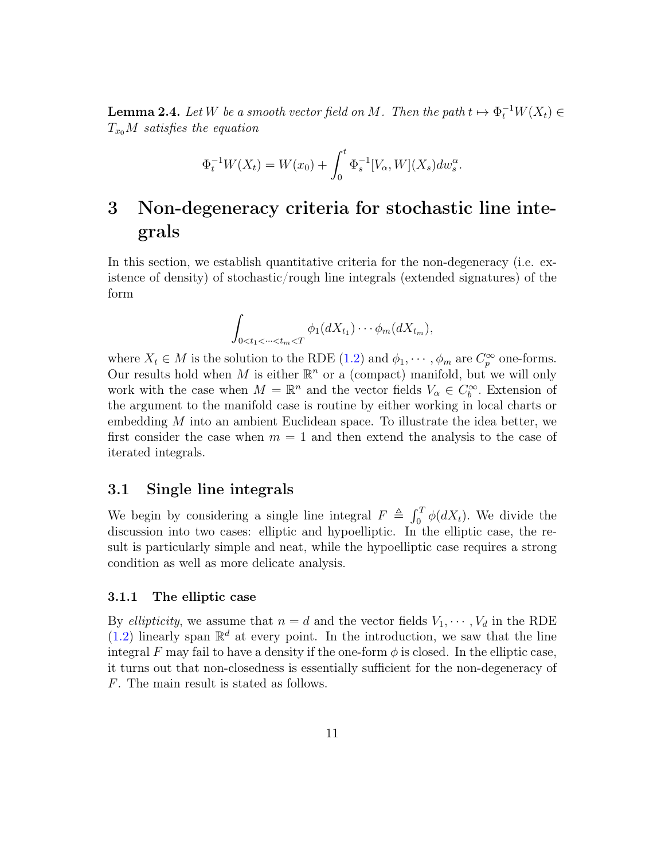<span id="page-10-2"></span>**Lemma 2.4.** Let W be a smooth vector field on M. Then the path  $t \mapsto \Phi_t^{-1}W(X_t) \in$  $T_{x_0}M$  satisfies the equation

$$
\Phi_t^{-1}W(X_t) = W(x_0) + \int_0^t \Phi_s^{-1}[V_\alpha, W](X_s) dw_s^\alpha.
$$

## <span id="page-10-1"></span>3 Non-degeneracy criteria for stochastic line integrals

In this section, we establish quantitative criteria for the non-degeneracy (i.e. existence of density) of stochastic/rough line integrals (extended signatures) of the form

$$
\int_{0
$$

where  $X_t \in M$  is the solution to the RDE [\(1.2\)](#page-2-0) and  $\phi_1, \dots, \phi_m$  are  $C_p^{\infty}$  one-forms. Our results hold when M is either  $\mathbb{R}^n$  or a (compact) manifold, but we will only work with the case when  $M = \mathbb{R}^n$  and the vector fields  $V_\alpha \in C_b^\infty$ . Extension of the argument to the manifold case is routine by either working in local charts or embedding M into an ambient Euclidean space. To illustrate the idea better, we first consider the case when  $m = 1$  and then extend the analysis to the case of iterated integrals.

#### <span id="page-10-0"></span>3.1 Single line integrals

We begin by considering a single line integral  $F \triangleq \int_0^T \phi(dX_t)$ . We divide the discussion into two cases: elliptic and hypoelliptic. In the elliptic case, the result is particularly simple and neat, while the hypoelliptic case requires a strong condition as well as more delicate analysis.

#### 3.1.1 The elliptic case

By *ellipticity*, we assume that  $n = d$  and the vector fields  $V_1, \dots, V_d$  in the RDE  $(1.2)$  linearly span  $\mathbb{R}^d$  at every point. In the introduction, we saw that the line integral F may fail to have a density if the one-form  $\phi$  is closed. In the elliptic case, it turns out that non-closedness is essentially sufficient for the non-degeneracy of F. The main result is stated as follows.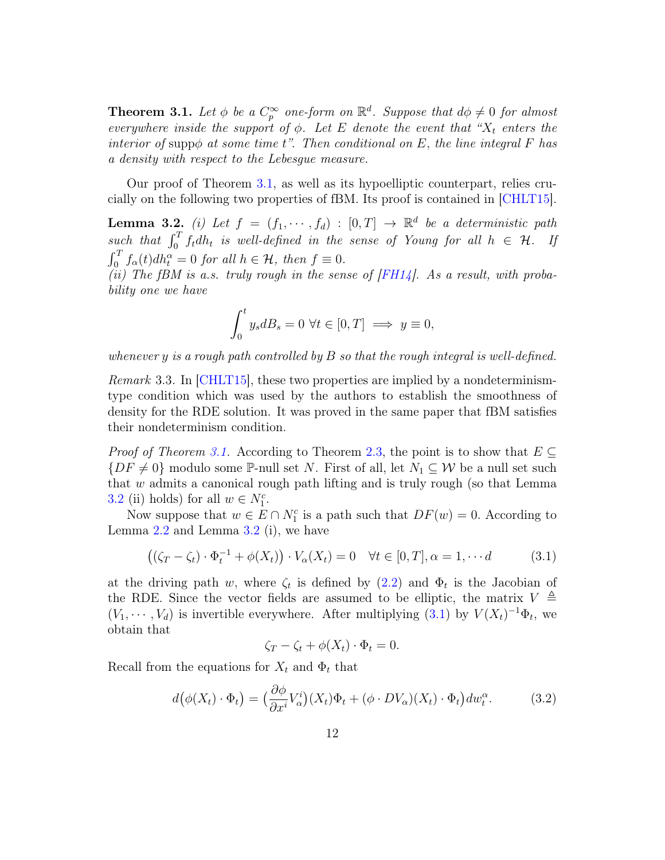<span id="page-11-0"></span>**Theorem 3.1.** Let  $\phi$  be a  $C_p^{\infty}$  one-form on  $\mathbb{R}^d$ . Suppose that  $d\phi \neq 0$  for almost everywhere inside the support of  $\phi$ . Let E denote the event that " $X_t$  enters the interior of supp $\phi$  at some time t". Then conditional on E, the line integral F has a density with respect to the Lebesgue measure.

Our proof of Theorem [3.1,](#page-11-0) as well as its hypoelliptic counterpart, relies crucially on the following two properties of fBM. Its proof is contained in [\[CHLT15\]](#page-35-5).

<span id="page-11-1"></span>**Lemma 3.2.** (i) Let  $f = (f_1, \dots, f_d) : [0, T] \rightarrow \mathbb{R}^d$  be a deterministic path such that  $\int_0^T f_t dh_t$  is well-defined in the sense of Young for all  $h \in \mathcal{H}$ . If  $\int_0^T f_\alpha(t) dh_t^\alpha = 0$  for all  $h \in \mathcal{H}$ , then  $f \equiv 0$ .

(ii) The fBM is a.s. truly rough in the sense of  $F H 14$ ]. As a result, with probability one we have

$$
\int_0^t y_s dB_s = 0 \,\,\forall t \in [0, T] \implies y \equiv 0,
$$

whenever y is a rough path controlled by  $B$  so that the rough integral is well-defined.

Remark 3.3. In CHLT15, these two properties are implied by a nondeterminismtype condition which was used by the authors to establish the smoothness of density for the RDE solution. It was proved in the same paper that fBM satisfies their nondeterminism condition.

*Proof of Theorem [3.1.](#page-11-0)* According to Theorem [2.3,](#page-8-0) the point is to show that  $E \subseteq$  ${DF \neq 0}$  modulo some P-null set N. First of all, let  $N_1 \subseteq W$  be a null set such that w admits a canonical rough path lifting and is truly rough (so that Lemma [3.2](#page-11-1) (ii) holds) for all  $w \in N_1^c$ .

Now suppose that  $w \in E \cap N_1^c$  is a path such that  $DF(w) = 0$ . According to Lemma [2.2](#page-6-2) and Lemma [3.2](#page-11-1) (i), we have

<span id="page-11-2"></span>
$$
((\zeta_T - \zeta_t) \cdot \Phi_t^{-1} + \phi(X_t)) \cdot V_\alpha(X_t) = 0 \quad \forall t \in [0, T], \alpha = 1, \cdots d \tag{3.1}
$$

at the driving path w, where  $\zeta_t$  is defined by  $(2.2)$  and  $\Phi_t$  is the Jacobian of the RDE. Since the vector fields are assumed to be elliptic, the matrix  $V \triangleq$  $(V_1, \dots, V_d)$  is invertible everywhere. After multiplying [\(3.1\)](#page-11-2) by  $V(X_t)^{-1}\Phi_t$ , we obtain that

$$
\zeta_T - \zeta_t + \phi(X_t) \cdot \Phi_t = 0.
$$

Recall from the equations for  $X_t$  and  $\Phi_t$  that

<span id="page-11-3"></span>
$$
d(\phi(X_t) \cdot \Phi_t) = \left(\frac{\partial \phi}{\partial x^i} V_\alpha^i\right)(X_t)\Phi_t + (\phi \cdot DV_\alpha)(X_t) \cdot \Phi_t\right) dw_t^\alpha. \tag{3.2}
$$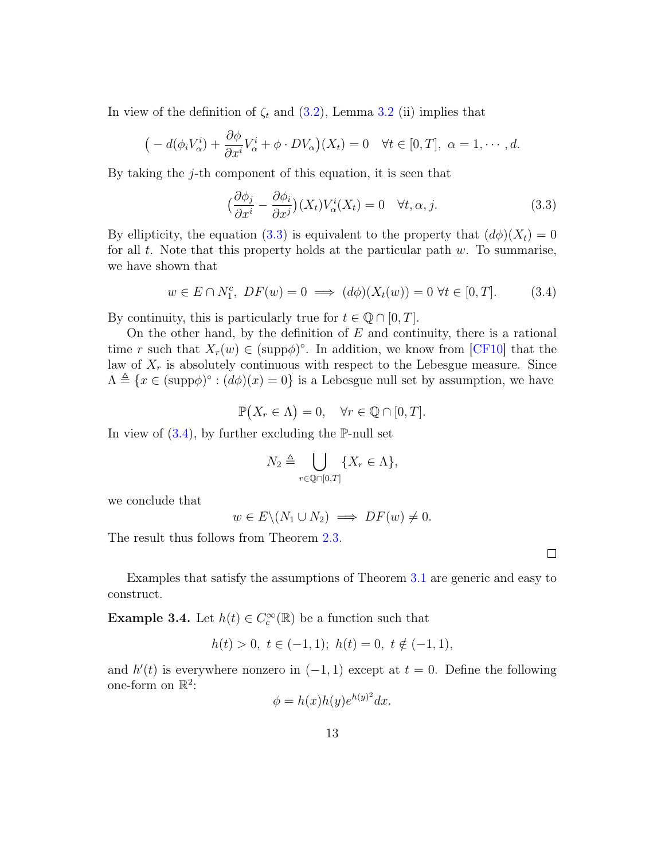In view of the definition of  $\zeta_t$  and [\(3.2\)](#page-11-3), Lemma [3.2](#page-11-1) (ii) implies that

$$
\big(-d(\phi_i V^i_{\alpha})+\frac{\partial \phi}{\partial x^i}V^i_{\alpha}+\phi\cdot DV_{\alpha}\big)(X_t)=0 \quad \forall t\in[0,T], \ \alpha=1,\cdots,d.
$$

By taking the j-th component of this equation, it is seen that

<span id="page-12-0"></span>
$$
\left(\frac{\partial \phi_j}{\partial x^i} - \frac{\partial \phi_i}{\partial x^j}\right)(X_t)V^i_{\alpha}(X_t) = 0 \quad \forall t, \alpha, j.
$$
\n(3.3)

By ellipticity, the equation [\(3.3\)](#page-12-0) is equivalent to the property that  $(d\phi)(X_t) = 0$ for all  $t$ . Note that this property holds at the particular path  $w$ . To summarise, we have shown that

<span id="page-12-1"></span>
$$
w \in E \cap N_1^c, \ DF(w) = 0 \implies (d\phi)(X_t(w)) = 0 \ \forall t \in [0, T]. \tag{3.4}
$$

By continuity, this is particularly true for  $t \in \mathbb{Q} \cap [0, T]$ .

On the other hand, by the definition of  $E$  and continuity, there is a rational time r such that  $X_r(w) \in (\text{supp}\phi)^\circ$ . In addition, we know from [\[CF10\]](#page-35-8) that the law of  $X_r$  is absolutely continuous with respect to the Lebesgue measure. Since  $\Lambda \triangleq \{x \in (\text{supp}\phi)^\circ : (d\phi)(x) = 0\}$  is a Lebesgue null set by assumption, we have

$$
\mathbb{P}(X_r \in \Lambda) = 0, \quad \forall r \in \mathbb{Q} \cap [0, T].
$$

In view of  $(3.4)$ , by further excluding the P-null set

$$
N_2 \triangleq \bigcup_{r \in \mathbb{Q} \cap [0,T]} \{ X_r \in \Lambda \},\
$$

we conclude that

$$
w \in E \setminus (N_1 \cup N_2) \implies DF(w) \neq 0.
$$

 $\Box$ 

The result thus follows from Theorem [2.3.](#page-8-0)

Examples that satisfy the assumptions of Theorem [3.1](#page-11-0) are generic and easy to construct.

<span id="page-12-2"></span>**Example 3.4.** Let  $h(t) \in C_c^{\infty}(\mathbb{R})$  be a function such that

$$
h(t) > 0, \ t \in (-1, 1); \ h(t) = 0, \ t \notin (-1, 1),
$$

and  $h'(t)$  is everywhere nonzero in  $(-1, 1)$  except at  $t = 0$ . Define the following one-form on  $\mathbb{R}^2$ :

$$
\phi = h(x)h(y)e^{h(y)^2}dx.
$$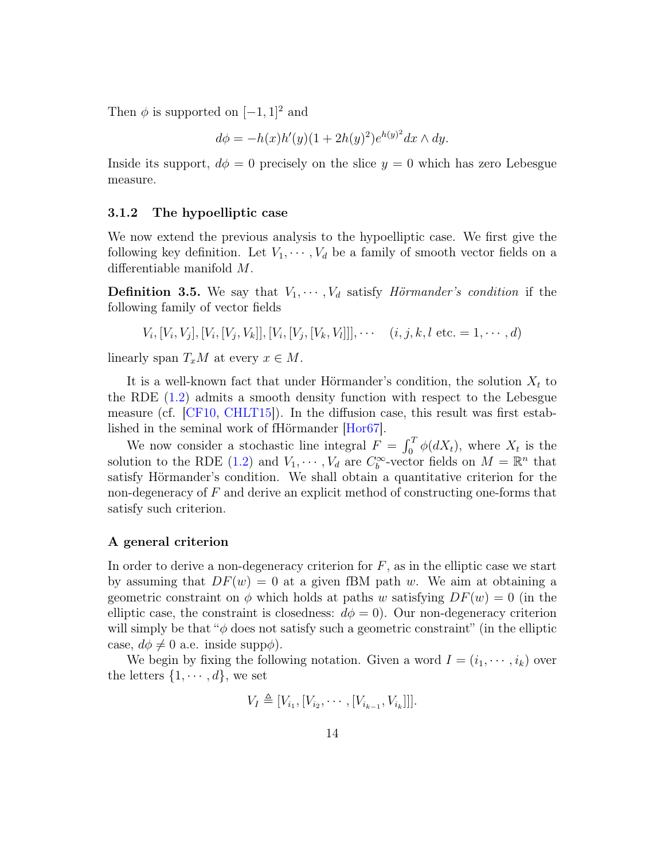Then  $\phi$  is supported on  $[-1, 1]^2$  and

$$
d\phi = -h(x)h'(y)(1+2h(y)^{2})e^{h(y)^{2}}dx \wedge dy.
$$

Inside its support,  $d\phi = 0$  precisely on the slice  $y = 0$  which has zero Lebesgue measure.

#### <span id="page-13-1"></span>3.1.2 The hypoelliptic case

We now extend the previous analysis to the hypoelliptic case. We first give the following key definition. Let  $V_1, \dots, V_d$  be a family of smooth vector fields on a differentiable manifold M.

<span id="page-13-0"></span>**Definition 3.5.** We say that  $V_1, \dots, V_d$  satisfy *Hörmander's condition* if the following family of vector fields

 $V_i, [V_i, V_j], [V_i, [V_j, V_k]], [V_i, [V_j, [V_k, V_l]]], \cdots$   $(i, j, k, l \text{ etc.} = 1, \cdots, d)$ 

linearly span  $T_xM$  at every  $x \in M$ .

It is a well-known fact that under Hörmander's condition, the solution  $X_t$  to the RDE [\(1.2\)](#page-2-0) admits a smooth density function with respect to the Lebesgue measure (cf. [\[CF10,](#page-35-8) [CHLT15\]](#page-35-5)). In the diffusion case, this result was first established in the seminal work of fHörmander [\[Hor67\]](#page-36-7).

We now consider a stochastic line integral  $F = \int_0^T \phi(dX_t)$ , where  $X_t$  is the solution to the RDE [\(1.2\)](#page-2-0) and  $V_1, \cdots, V_d$  are  $C_b^{\infty}$ -vector fields on  $M = \mathbb{R}^n$  that satisfy Hörmander's condition. We shall obtain a quantitative criterion for the non-degeneracy of F and derive an explicit method of constructing one-forms that satisfy such criterion.

#### A general criterion

In order to derive a non-degeneracy criterion for  $F$ , as in the elliptic case we start by assuming that  $DF(w) = 0$  at a given fBM path w. We aim at obtaining a geometric constraint on  $\phi$  which holds at paths w satisfying  $DF(w) = 0$  (in the elliptic case, the constraint is closedness:  $d\phi = 0$ . Our non-degeneracy criterion will simply be that " $\phi$  does not satisfy such a geometric constraint" (in the elliptic case,  $d\phi \neq 0$  a.e. inside supp $\phi$ ).

We begin by fixing the following notation. Given a word  $I = (i_1, \dots, i_k)$  over the letters  $\{1, \cdots, d\}$ , we set

$$
V_I \triangleq [V_{i_1}, [V_{i_2}, \cdots, [V_{i_{k-1}}, V_{i_k}]]].
$$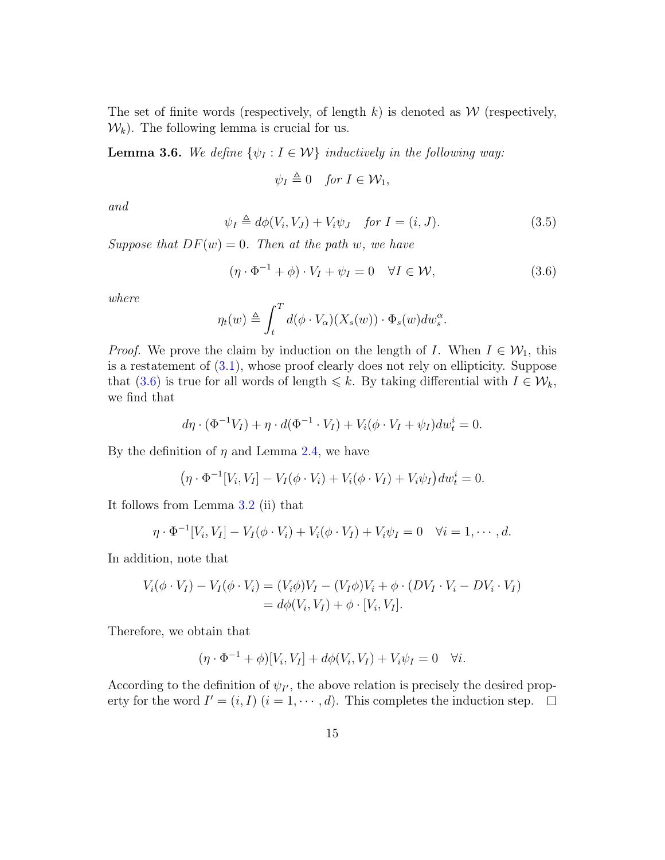The set of finite words (respectively, of length  $k$ ) is denoted as  $W$  (respectively,  $\mathcal{W}_k$ ). The following lemma is crucial for us.

<span id="page-14-2"></span>**Lemma 3.6.** We define  $\{\psi_I : I \in \mathcal{W}\}\$  inductively in the following way:

$$
\psi_I \triangleq 0 \quad \text{for } I \in \mathcal{W}_1,
$$

and

<span id="page-14-1"></span>
$$
\psi_I \triangleq d\phi(V_i, V_J) + V_i \psi_J \quad \text{for } I = (i, J). \tag{3.5}
$$

Suppose that  $DF(w) = 0$ . Then at the path w, we have

<span id="page-14-0"></span>
$$
(\eta \cdot \Phi^{-1} + \phi) \cdot V_I + \psi_I = 0 \quad \forall I \in \mathcal{W}, \tag{3.6}
$$

where

$$
\eta_t(w) \triangleq \int_t^T d(\phi \cdot V_\alpha)(X_s(w)) \cdot \Phi_s(w) dw_s^\alpha.
$$

*Proof.* We prove the claim by induction on the length of I. When  $I \in \mathcal{W}_1$ , this is a restatement of [\(3.1\)](#page-11-2), whose proof clearly does not rely on ellipticity. Suppose that [\(3.6\)](#page-14-0) is true for all words of length  $\leq k$ . By taking differential with  $I \in \mathcal{W}_k$ , we find that

$$
d\eta \cdot (\Phi^{-1}V_I) + \eta \cdot d(\Phi^{-1} \cdot V_I) + V_i(\phi \cdot V_I + \psi_I)dw_t^i = 0.
$$

By the definition of  $\eta$  and Lemma [2.4,](#page-10-2) we have

$$
(\eta \cdot \Phi^{-1}[V_i, V_I] - V_I(\phi \cdot V_i) + V_i(\phi \cdot V_I) + V_i\psi_I)dw_t^i = 0.
$$

It follows from Lemma [3.2](#page-11-1) (ii) that

$$
\eta \cdot \Phi^{-1}[V_i, V_I] - V_I(\phi \cdot V_i) + V_i(\phi \cdot V_I) + V_i\psi_I = 0 \quad \forall i = 1, \cdots, d.
$$

In addition, note that

$$
V_i(\phi \cdot V_I) - V_I(\phi \cdot V_i) = (V_i \phi) V_I - (V_I \phi) V_i + \phi \cdot (DV_I \cdot V_i - DV_i \cdot V_I)
$$
  
=  $d\phi(V_i, V_I) + \phi \cdot [V_i, V_I].$ 

Therefore, we obtain that

$$
(\eta \cdot \Phi^{-1} + \phi)[V_i, V_I] + d\phi(V_i, V_I) + V_i \psi_I = 0 \quad \forall i.
$$

According to the definition of  $\psi_{I'}$ , the above relation is precisely the desired property for the word  $I' = (i, I)$   $(i = 1, \dots, d)$ . This completes the induction step.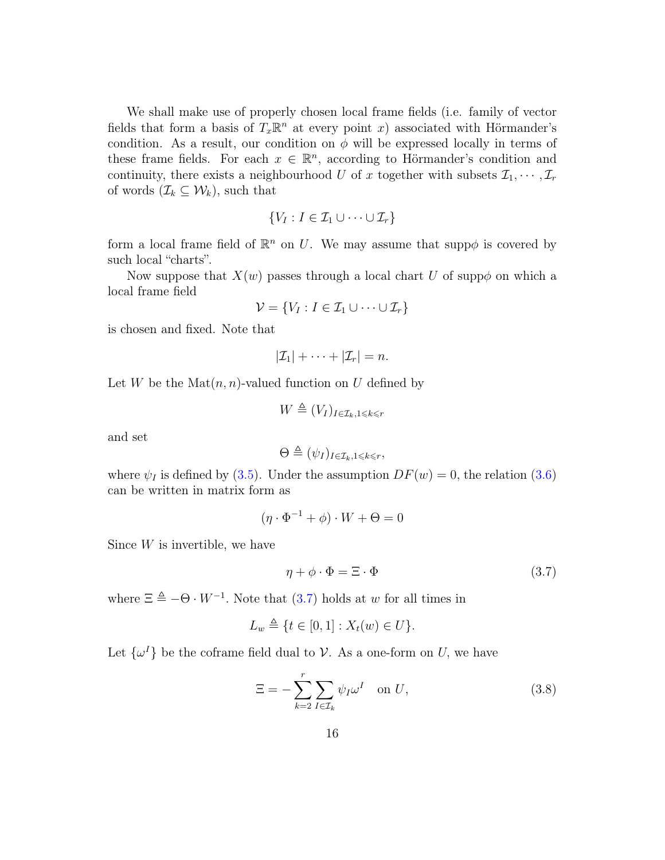We shall make use of properly chosen local frame fields (i.e. family of vector fields that form a basis of  $T_x \mathbb{R}^n$  at every point x) associated with Hörmander's condition. As a result, our condition on  $\phi$  will be expressed locally in terms of these frame fields. For each  $x \in \mathbb{R}^n$ , according to Hörmander's condition and continuity, there exists a neighbourhood U of x together with subsets  $\mathcal{I}_1, \cdots, \mathcal{I}_r$ of words  $(\mathcal{I}_k \subseteq \mathcal{W}_k)$ , such that

$$
\{V_I : I \in \mathcal{I}_1 \cup \cdots \cup \mathcal{I}_r\}
$$

form a local frame field of  $\mathbb{R}^n$  on U. We may assume that supp $\phi$  is covered by such local "charts".

Now suppose that  $X(w)$  passes through a local chart U of supp $\phi$  on which a local frame field

$$
\mathcal{V} = \{V_I : I \in \mathcal{I}_1 \cup \cdots \cup \mathcal{I}_r\}
$$

is chosen and fixed. Note that

$$
|\mathcal{I}_1|+\cdots+|\mathcal{I}_r|=n.
$$

Let W be the  $\text{Mat}(n, n)$ -valued function on U defined by

$$
W \triangleq (V_I)_{I \in \mathcal{I}_k, 1 \leq k \leq r}
$$

and set

$$
\Theta \triangleq (\psi_I)_{I \in \mathcal{I}_k, 1 \leq k \leq r},
$$

where  $\psi_I$  is defined by [\(3.5\)](#page-14-1). Under the assumption  $DF(w) = 0$ , the relation [\(3.6\)](#page-14-0) can be written in matrix form as

$$
(\eta \cdot \Phi^{-1} + \phi) \cdot W + \Theta = 0
$$

Since  $W$  is invertible, we have

<span id="page-15-0"></span>
$$
\eta + \phi \cdot \Phi = \Xi \cdot \Phi \tag{3.7}
$$

where  $\Xi \triangleq -\Theta \cdot W^{-1}$ . Note that [\(3.7\)](#page-15-0) holds at w for all times in

$$
L_w \triangleq \{ t \in [0,1] : X_t(w) \in U \}.
$$

Let  $\{\omega^I\}$  be the coframe field dual to V. As a one-form on U, we have

<span id="page-15-1"></span>
$$
\Xi = -\sum_{k=2}^{r} \sum_{I \in \mathcal{I}_k} \psi_I \omega^I \quad \text{on } U,
$$
\n(3.8)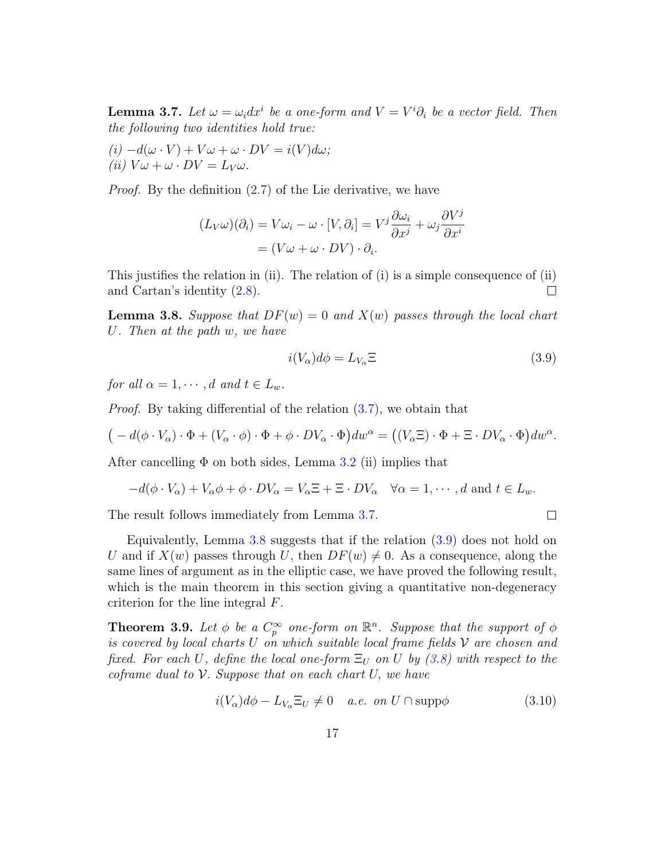<span id="page-16-2"></span>**Lemma 3.7.** Let  $\omega = \omega_i dx^i$  be a one-form and  $V = V^i \partial_i$  be a vector field. Then the following two identities hold true:

 $(i) -d(\omega \cdot V) + V\omega + \omega \cdot DV = i(V)d\omega;$ (ii)  $V\omega + \omega \cdot DV = L_V \omega$ .

Proof. By the definition [\(2.7\)](#page-9-1) of the Lie derivative, we have

$$
(L_V \omega)(\partial_i) = V \omega_i - \omega \cdot [V, \partial_i] = V^j \frac{\partial \omega_i}{\partial x^j} + \omega_j \frac{\partial V^j}{\partial x^i}
$$

$$
= (V \omega + \omega \cdot DV) \cdot \partial_i.
$$

This justifies the relation in (ii). The relation of (i) is a simple consequence of (ii) and Cartan's identity [\(2.8\)](#page-9-2).  $\Box$ 

<span id="page-16-3"></span>**Lemma 3.8.** Suppose that  $DF(w) = 0$  and  $X(w)$  passes through the local chart U. Then at the path w, we have

<span id="page-16-4"></span>
$$
i(V_{\alpha})d\phi = L_{V_{\alpha}}\Xi
$$
\n(3.9)

 $\Box$ 

for all  $\alpha = 1, \cdots, d$  and  $t \in L_w$ .

Proof. By taking differential of the relation [\(3.7\)](#page-15-0), we obtain that

$$
\big(-d(\phi\cdot V_{\alpha})\cdot\Phi+(V_{\alpha}\cdot\phi)\cdot\Phi+\phi\cdot DV_{\alpha}\cdot\Phi\big)dw^{\alpha}=\big((V_{\alpha}\Xi)\cdot\Phi+\Xi\cdot DV_{\alpha}\cdot\Phi\big)dw^{\alpha}.
$$

After cancelling  $\Phi$  on both sides, Lemma [3.2](#page-11-1) (ii) implies that

$$
-d(\phi \cdot V_{\alpha}) + V_{\alpha}\phi + \phi \cdot DV_{\alpha} = V_{\alpha} \Xi + \Xi \cdot DV_{\alpha} \quad \forall \alpha = 1, \cdots, d \text{ and } t \in L_w.
$$

The result follows immediately from Lemma [3.7.](#page-16-2)

Equivalently, Lemma [3.8](#page-16-3) suggests that if the relation  $(3.9)$  does not hold on U and if  $X(w)$  passes through U, then  $DF(w) \neq 0$ . As a consequence, along the same lines of argument as in the elliptic case, we have proved the following result, which is the main theorem in this section giving a quantitative non-degeneracy criterion for the line integral F.

<span id="page-16-0"></span>**Theorem 3.9.** Let  $\phi$  be a  $C_p^{\infty}$  one-form on  $\mathbb{R}^n$ . Suppose that the support of  $\phi$ is covered by local charts U on which suitable local frame fields  $\mathcal V$  are chosen and fixed. For each U, define the local one-form  $\Xi_U$  on U by [\(3.8\)](#page-15-1) with respect to the coframe dual to  $V$ . Suppose that on each chart  $U$ , we have

<span id="page-16-1"></span>
$$
i(V_{\alpha})d\phi - L_{V_{\alpha}}\Xi_U \neq 0 \quad a.e. \text{ on } U \cap \text{supp}\phi \tag{3.10}
$$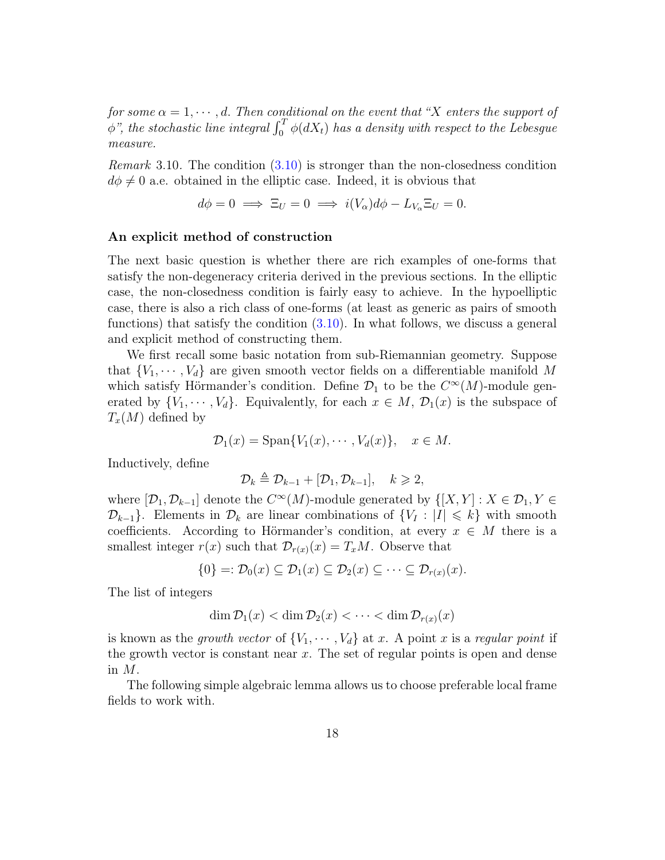for some  $\alpha = 1, \dots, d$ . Then conditional on the event that "X enters the support of  $\oint \phi$ ", the stochastic line integral  $\int_0^T \phi(dX_t)$  has a density with respect to the Lebesgue measure.

*Remark* 3.10. The condition  $(3.10)$  is stronger than the non-closedness condition  $d\phi \neq 0$  a.e. obtained in the elliptic case. Indeed, it is obvious that

$$
d\phi = 0 \implies \Xi_U = 0 \implies i(V_\alpha)d\phi - L_{V_\alpha}\Xi_U = 0.
$$

#### An explicit method of construction

The next basic question is whether there are rich examples of one-forms that satisfy the non-degeneracy criteria derived in the previous sections. In the elliptic case, the non-closedness condition is fairly easy to achieve. In the hypoelliptic case, there is also a rich class of one-forms (at least as generic as pairs of smooth functions) that satisfy the condition  $(3.10)$ . In what follows, we discuss a general and explicit method of constructing them.

We first recall some basic notation from sub-Riemannian geometry. Suppose that  $\{V_1, \dots, V_d\}$  are given smooth vector fields on a differentiable manifold M which satisfy Hörmander's condition. Define  $\mathcal{D}_1$  to be the  $C^{\infty}(M)$ -module generated by  $\{V_1, \dots, V_d\}$ . Equivalently, for each  $x \in M$ ,  $\mathcal{D}_1(x)$  is the subspace of  $T_x(M)$  defined by

$$
\mathcal{D}_1(x) = \text{Span}\{V_1(x), \cdots, V_d(x)\}, \quad x \in M.
$$

Inductively, define

$$
\mathcal{D}_k \triangleq \mathcal{D}_{k-1} + [\mathcal{D}_1, \mathcal{D}_{k-1}], \quad k \geqslant 2,
$$

where  $[\mathcal{D}_1, \mathcal{D}_{k-1}]$  denote the  $C^{\infty}(M)$ -module generated by  $\{[X, Y] : X \in \mathcal{D}_1, Y \in$  $\mathcal{D}_{k-1}$ . Elements in  $\mathcal{D}_k$  are linear combinations of  $\{V_I : |I| \leq k\}$  with smooth coefficients. According to Hörmander's condition, at every  $x \in M$  there is a smallest integer  $r(x)$  such that  $\mathcal{D}_{r(x)}(x) = T_xM$ . Observe that

$$
\{0\} =: \mathcal{D}_0(x) \subseteq \mathcal{D}_1(x) \subseteq \mathcal{D}_2(x) \subseteq \cdots \subseteq \mathcal{D}_{r(x)}(x).
$$

The list of integers

$$
\dim \mathcal{D}_1(x) < \dim \mathcal{D}_2(x) < \cdots < \dim \mathcal{D}_{r(x)}(x)
$$

is known as the growth vector of  $\{V_1, \dots, V_d\}$  at x. A point x is a regular point if the growth vector is constant near  $x$ . The set of regular points is open and dense in M.

The following simple algebraic lemma allows us to choose preferable local frame fields to work with.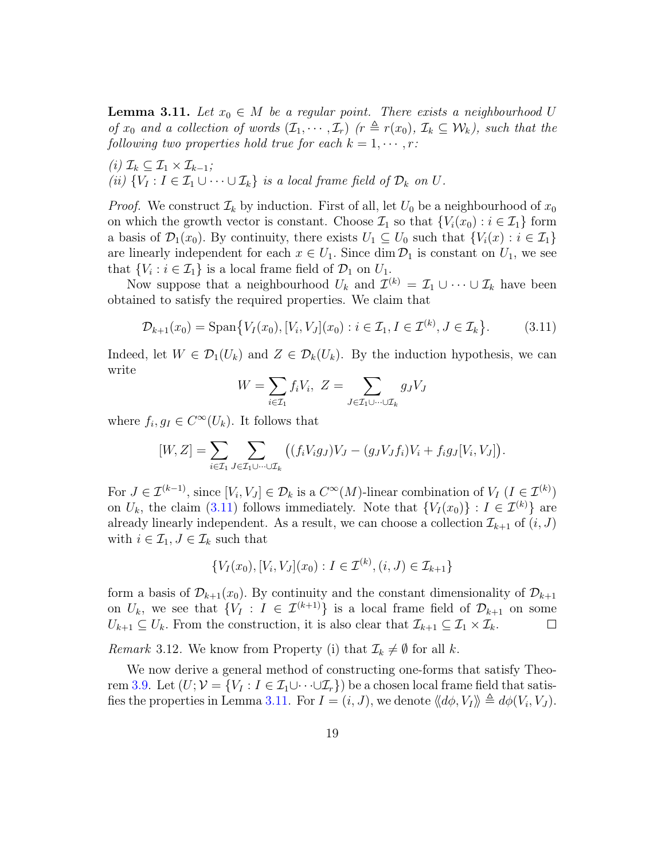<span id="page-18-1"></span>**Lemma 3.11.** Let  $x_0 \in M$  be a regular point. There exists a neighbourhood U of  $x_0$  and a collection of words  $(\mathcal{I}_1, \cdots, \mathcal{I}_r)$  ( $r \triangleq r(x_0), \mathcal{I}_k \subseteq \mathcal{W}_k$ ), such that the following two properties hold true for each  $k = 1, \dots, r$ :

 $(i)$   $\mathcal{I}_k \subseteq \mathcal{I}_1 \times \mathcal{I}_{k-1};$ (ii)  $\{V_I : I \in \mathcal{I}_1 \cup \cdots \cup \mathcal{I}_k\}$  is a local frame field of  $\mathcal{D}_k$  on  $U$ .

*Proof.* We construct  $\mathcal{I}_k$  by induction. First of all, let  $U_0$  be a neighbourhood of  $x_0$ on which the growth vector is constant. Choose  $\mathcal{I}_1$  so that  $\{V_i(x_0): i \in \mathcal{I}_1\}$  form a basis of  $\mathcal{D}_1(x_0)$ . By continuity, there exists  $U_1 \subseteq U_0$  such that  $\{V_i(x) : i \in \mathcal{I}_1\}$ are linearly independent for each  $x \in U_1$ . Since dim  $\mathcal{D}_1$  is constant on  $U_1$ , we see that  $\{V_i : i \in \mathcal{I}_1\}$  is a local frame field of  $\mathcal{D}_1$  on  $U_1$ .

Now suppose that a neighbourhood  $U_k$  and  $\mathcal{I}^{(k)} = \mathcal{I}_1 \cup \cdots \cup \mathcal{I}_k$  have been obtained to satisfy the required properties. We claim that

<span id="page-18-0"></span>
$$
\mathcal{D}_{k+1}(x_0) = \text{Span}\{V_I(x_0), [V_i, V_J](x_0) : i \in \mathcal{I}_1, I \in \mathcal{I}^{(k)}, J \in \mathcal{I}_k\}.
$$
 (3.11)

Indeed, let  $W \in \mathcal{D}_1(U_k)$  and  $Z \in \mathcal{D}_k(U_k)$ . By the induction hypothesis, we can write

$$
W = \sum_{i \in \mathcal{I}_1} f_i V_i, \ Z = \sum_{J \in \mathcal{I}_1 \cup \dots \cup \mathcal{I}_k} g_J V_J
$$

where  $f_i, g_I \in C^{\infty}(U_k)$ . It follows that

$$
[W,Z] = \sum_{i \in \mathcal{I}_1} \sum_{J \in \mathcal{I}_1 \cup \dots \cup \mathcal{I}_k} \left( (f_i V_i g_J) V_J - (g_J V_J f_i) V_i + f_i g_J [V_i, V_J] \right).
$$

For  $J \in \mathcal{I}^{(k-1)}$ , since  $[V_i, V_J] \in \mathcal{D}_k$  is a  $C^{\infty}(M)$ -linear combination of  $V_I$   $(I \in \mathcal{I}^{(k)})$ on  $U_k$ , the claim [\(3.11\)](#page-18-0) follows immediately. Note that  ${V_I(x_0)} : I \in \mathcal{I}^{(k)}$  are already linearly independent. As a result, we can choose a collection  $\mathcal{I}_{k+1}$  of  $(i, J)$ with  $i \in \mathcal{I}_1, J \in \mathcal{I}_k$  such that

$$
\{V_I(x_0), [V_i, V_J](x_0) : I \in \mathcal{I}^{(k)}, (i, J) \in \mathcal{I}_{k+1}\}
$$

form a basis of  $\mathcal{D}_{k+1}(x_0)$ . By continuity and the constant dimensionality of  $\mathcal{D}_{k+1}$ on  $U_k$ , we see that  $\{V_I : I \in \mathcal{I}^{(k+1)}\}$  is a local frame field of  $\mathcal{D}_{k+1}$  on some  $U_{k+1} \subseteq U_k$ . From the construction, it is also clear that  $\mathcal{I}_{k+1} \subseteq \mathcal{I}_1 \times \mathcal{I}_k$ .  $\Box$ 

*Remark* 3.12. We know from Property (i) that  $\mathcal{I}_k \neq \emptyset$  for all k.

We now derive a general method of constructing one-forms that satisfy Theo-rem [3.9.](#page-16-0) Let  $(U; \mathcal{V} = \{V_I : I \in \mathcal{I}_1 \cup \cdots \cup \mathcal{I}_r\})$  be a chosen local frame field that satis-fies the properties in Lemma [3.11.](#page-18-1) For  $I = (i, J)$ , we denote  $\langle \langle d\phi, V_I \rangle \rangle \triangleq d\phi(V_i, V_J)$ .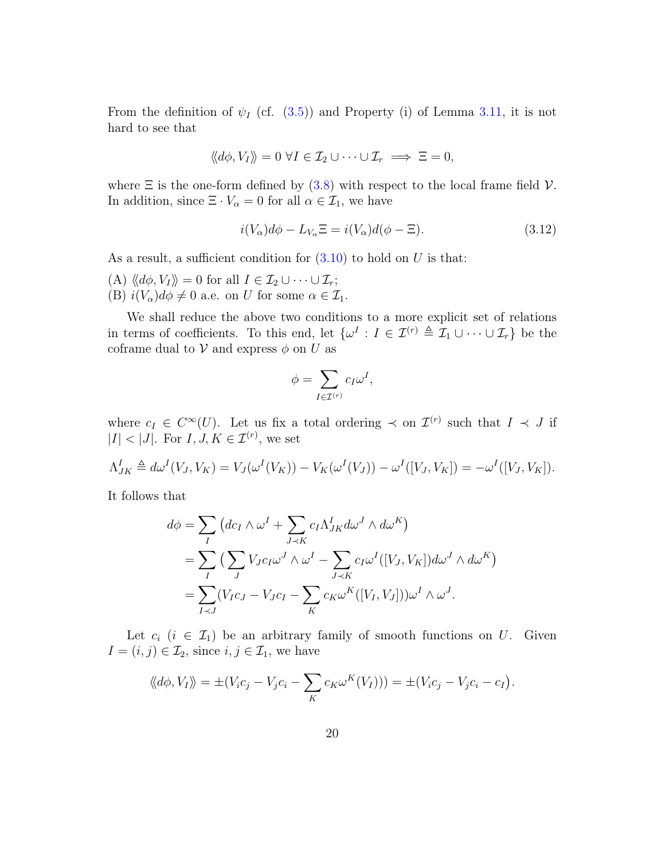From the definition of  $\psi_I$  (cf. [\(3.5\)](#page-14-1)) and Property (i) of Lemma [3.11,](#page-18-1) it is not hard to see that

$$
\langle d\phi, V_I \rangle\!\rangle = 0 \ \forall I \in \mathcal{I}_2 \cup \cdots \cup \mathcal{I}_r \implies \Xi = 0,
$$

where  $\Xi$  is the one-form defined by [\(3.8\)](#page-15-1) with respect to the local frame field  $\mathcal{V}$ . In addition, since  $\Xi \cdot V_{\alpha} = 0$  for all  $\alpha \in \mathcal{I}_1$ , we have

<span id="page-19-0"></span>
$$
i(V_{\alpha})d\phi - L_{V_{\alpha}}\Xi = i(V_{\alpha})d(\phi - \Xi). \tag{3.12}
$$

As a result, a sufficient condition for  $(3.10)$  to hold on U is that:

(A)  $\langle \langle d\phi, V_I \rangle \rangle = 0$  for all  $I \in \mathcal{I}_2 \cup \cdots \cup \mathcal{I}_r$ ; (B)  $i(V_\alpha)d\phi \neq 0$  a.e. on U for some  $\alpha \in \mathcal{I}_1$ .

We shall reduce the above two conditions to a more explicit set of relations in terms of coefficients. To this end, let  $\{\omega^I : I \in \mathcal{I}^{(r)} \triangleq \mathcal{I}_1 \cup \cdots \cup \mathcal{I}_r\}$  be the coframe dual to  $V$  and express  $\phi$  on U as

$$
\phi = \sum_{I \in \mathcal{I}^{(r)}} c_I \omega^I,
$$

where  $c_I \in C^{\infty}(U)$ . Let us fix a total ordering  $\prec$  on  $\mathcal{I}^{(r)}$  such that  $I \prec J$  if  $|I| < |J|$ . For  $I, J, K \in \mathcal{I}^{(r)}$ , we set

$$
\Lambda_{JK}^I \triangleq d\omega^I(V_J, V_K) = V_J(\omega^I(V_K)) - V_K(\omega^I(V_J)) - \omega^I([V_J, V_K]) = -\omega^I([V_J, V_K]).
$$

It follows that

$$
d\phi = \sum_{I} (dc_{I} \wedge \omega^{I} + \sum_{J \prec K} c_{I} \Lambda^{I}_{JK} d\omega^{J} \wedge d\omega^{K})
$$
  
= 
$$
\sum_{I} (\sum_{J} V_{J} c_{I} \omega^{J} \wedge \omega^{I} - \sum_{J \prec K} c_{I} \omega^{I} ([V_{J}, V_{K}]) d\omega^{J} \wedge d\omega^{K})
$$
  
= 
$$
\sum_{I \prec J} (V_{I} c_{J} - V_{J} c_{I} - \sum_{K} c_{K} \omega^{K} ([V_{I}, V_{J}])) \omega^{I} \wedge \omega^{J}.
$$

Let  $c_i$   $(i \in \mathcal{I}_1)$  be an arbitrary family of smooth functions on U. Given  $I = (i, j) \in \mathcal{I}_2$ , since  $i, j \in \mathcal{I}_1$ , we have

$$
\langle \langle d\phi, V_I \rangle \rangle = \pm (V_i c_j - V_j c_i - \sum_K c_K \omega^K(V_I))) = \pm (V_i c_j - V_j c_i - c_I).
$$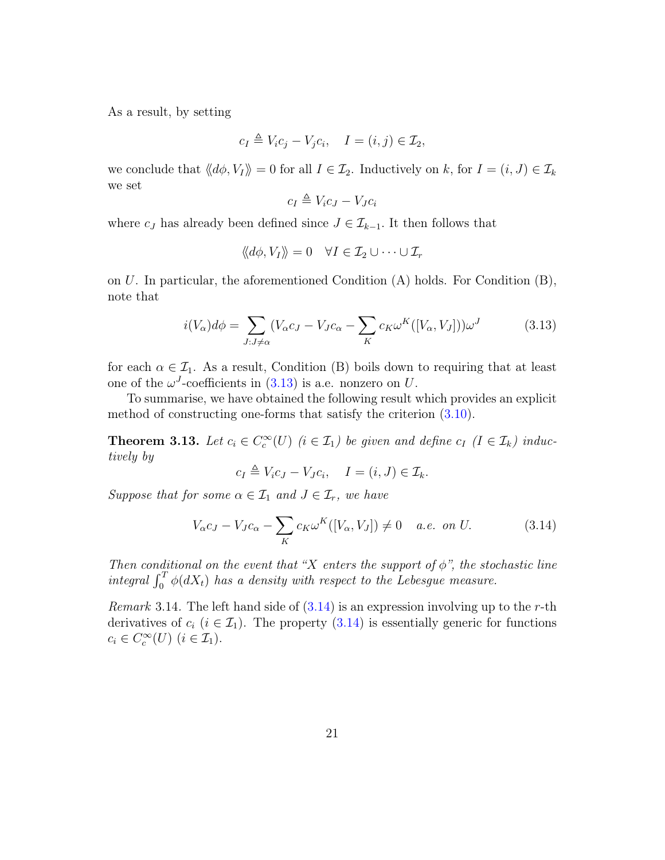As a result, by setting

$$
c_I \triangleq V_i c_j - V_j c_i, \quad I = (i, j) \in \mathcal{I}_2,
$$

we conclude that  $\langle d\phi, V_I \rangle = 0$  for all  $I \in \mathcal{I}_2$ . Inductively on k, for  $I = (i, J) \in \mathcal{I}_k$ we set

$$
c_I \triangleq V_i c_J - V_J c_i
$$

where  $c_J$  has already been defined since  $J \in \mathcal{I}_{k-1}$ . It then follows that

$$
\langle \langle d\phi, V_I \rangle \rangle = 0 \quad \forall I \in \mathcal{I}_2 \cup \cdots \cup \mathcal{I}_r
$$

on U. In particular, the aforementioned Condition (A) holds. For Condition (B), note that

<span id="page-20-1"></span>
$$
i(V_{\alpha})d\phi = \sum_{J:J \neq \alpha} (V_{\alpha}c_J - V_Jc_{\alpha} - \sum_K c_K \omega^K([V_{\alpha}, V_J]))\omega^J
$$
(3.13)

for each  $\alpha \in \mathcal{I}_1$ . As a result, Condition (B) boils down to requiring that at least one of the  $\omega^J$ -coefficients in  $(3.13)$  is a.e. nonzero on U.

To summarise, we have obtained the following result which provides an explicit method of constructing one-forms that satisfy the criterion [\(3.10\)](#page-16-1).

<span id="page-20-0"></span>**Theorem 3.13.** Let  $c_i \in C_c^{\infty}(U)$  ( $i \in I_1$ ) be given and define  $c_I$  ( $I \in I_k$ ) inductively by

$$
c_I \triangleq V_i c_J - V_J c_i, \quad I = (i, J) \in \mathcal{I}_k.
$$

Suppose that for some  $\alpha \in \mathcal{I}_1$  and  $J \in \mathcal{I}_r$ , we have

<span id="page-20-2"></span>
$$
V_{\alpha}c_J - V_Jc_{\alpha} - \sum_K c_K \omega^K([V_{\alpha}, V_J]) \neq 0 \quad a.e. \text{ on } U. \tag{3.14}
$$

Then conditional on the event that "X enters the support of  $\phi$ ", the stochastic line integral  $\int_0^T \phi(dX_t)$  has a density with respect to the Lebesgue measure.

*Remark* 3.14. The left hand side of  $(3.14)$  is an expression involving up to the r-th derivatives of  $c_i$  ( $i \in \mathcal{I}_1$ ). The property [\(3.14\)](#page-20-2) is essentially generic for functions  $c_i \in C_c^{\infty}(U)$   $(i \in \mathcal{I}_1)$ .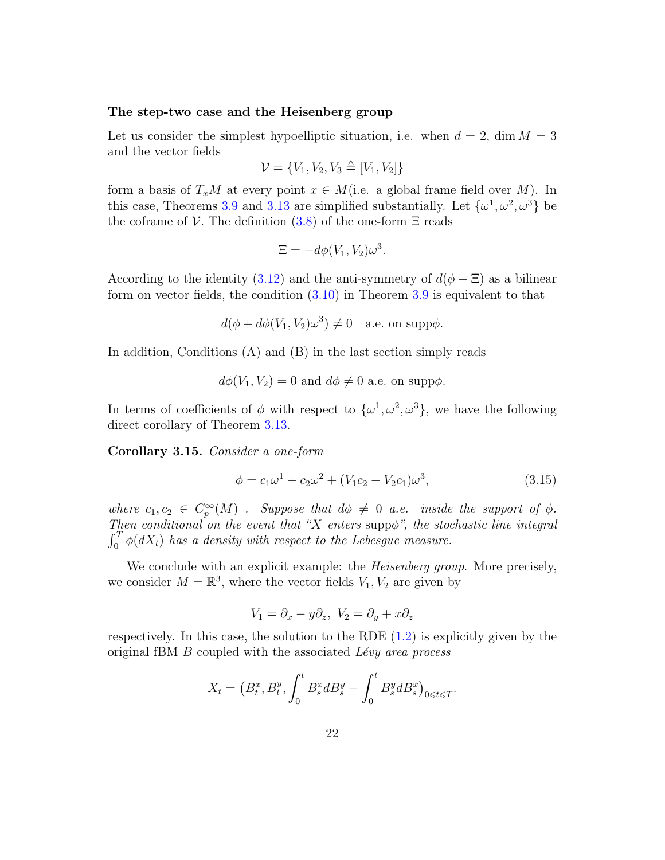#### The step-two case and the Heisenberg group

Let us consider the simplest hypoelliptic situation, i.e. when  $d = 2$ , dim  $M = 3$ and the vector fields

$$
\mathcal{V} = \{V_1, V_2, V_3 \triangleq [V_1, V_2]\}
$$

form a basis of  $T_xM$  at every point  $x \in M$  (i.e. a global frame field over M). In this case, Theorems [3.9](#page-16-0) and [3.13](#page-20-0) are simplified substantially. Let  $\{\omega^1, \omega^2, \omega^3\}$  be the coframe of  $V$ . The definition [\(3.8\)](#page-15-1) of the one-form  $\Xi$  reads

$$
\Xi = -d\phi(V_1, V_2)\omega^3.
$$

According to the identity [\(3.12\)](#page-19-0) and the anti-symmetry of  $d(\phi - \Xi)$  as a bilinear form on vector fields, the condition  $(3.10)$  in Theorem [3.9](#page-16-0) is equivalent to that

$$
d(\phi + d\phi(V_1, V_2)\omega^3) \neq 0 \quad \text{a.e. on } \text{supp}\phi.
$$

In addition, Conditions  $(A)$  and  $(B)$  in the last section simply reads

 $d\phi(V_1, V_2) = 0$  and  $d\phi \neq 0$  a.e. on supp $\phi$ .

In terms of coefficients of  $\phi$  with respect to  $\{\omega^1, \omega^2, \omega^3\}$ , we have the following direct corollary of Theorem [3.13.](#page-20-0)

<span id="page-21-0"></span>Corollary 3.15. Consider a one-form

<span id="page-21-1"></span>
$$
\phi = c_1 \omega^1 + c_2 \omega^2 + (V_1 c_2 - V_2 c_1) \omega^3, \tag{3.15}
$$

where  $c_1, c_2 \in C_p^{\infty}(M)$ . Suppose that  $d\phi \neq 0$  a.e. inside the support of  $\phi$ . Then conditional on the event that "X enters supp $\phi$ ", the stochastic line integral  $\int_0^T \phi(dX_t)$  has a density with respect to the Lebesgue measure.

We conclude with an explicit example: the *Heisenberg group*. More precisely, we consider  $M = \mathbb{R}^3$ , where the vector fields  $V_1, V_2$  are given by

$$
V_1 = \partial_x - y\partial_z, \ V_2 = \partial_y + x\partial_z
$$

respectively. In this case, the solution to the RDE [\(1.2\)](#page-2-0) is explicitly given by the original fBM B coupled with the associated Lévy area process

$$
X_t = (B_t^x, B_t^y, \int_0^t B_s^x dB_s^y - \int_0^t B_s^y dB_s^x)_{0 \leq t \leq T}.
$$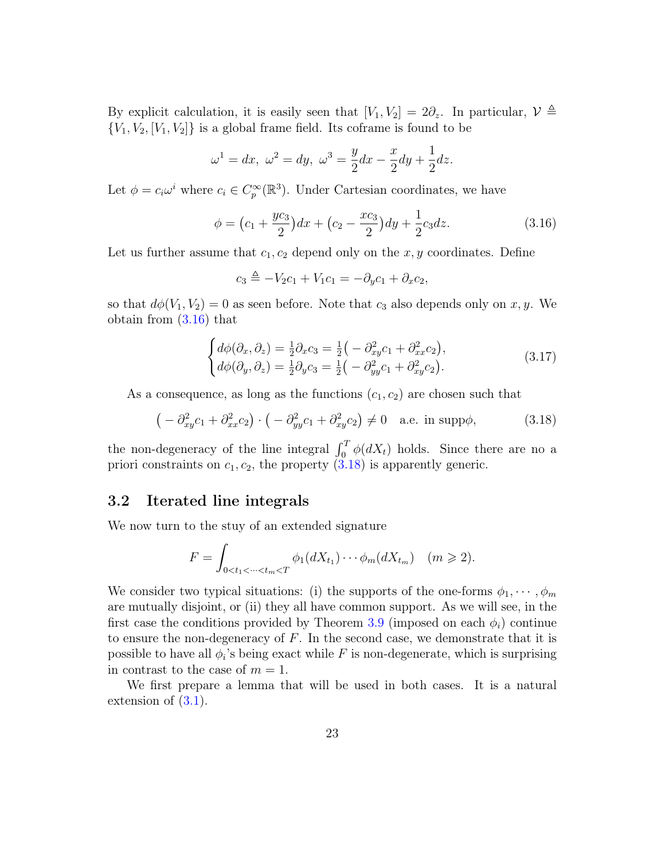By explicit calculation, it is easily seen that  $[V_1, V_2] = 2\partial_z$ . In particular,  $\mathcal{V} \triangleq$  ${V_1, V_2, [V_1, V_2]}$  is a global frame field. Its coframe is found to be

$$
\omega^1 = dx, \ \omega^2 = dy, \ \omega^3 = \frac{y}{2}dx - \frac{x}{2}dy + \frac{1}{2}dz.
$$

Let  $\phi = c_i \omega^i$  where  $c_i \in C_p^{\infty}(\mathbb{R}^3)$ . Under Cartesian coordinates, we have

<span id="page-22-1"></span>
$$
\phi = \left(c_1 + \frac{yc_3}{2}\right)dx + \left(c_2 - \frac{xc_3}{2}\right)dy + \frac{1}{2}c_3dz.
$$
\n(3.16)

Let us further assume that  $c_1, c_2$  depend only on the x, y coordinates. Define

$$
c_3 \triangleq -V_2c_1 + V_1c_1 = -\partial_y c_1 + \partial_x c_2,
$$

so that  $d\phi(V_1, V_2) = 0$  as seen before. Note that  $c_3$  also depends only on x, y. We obtain from [\(3.16\)](#page-22-1) that

$$
\begin{cases}\n d\phi(\partial_x, \partial_z) = \frac{1}{2}\partial_x c_3 = \frac{1}{2}\left(-\partial_{xy}^2 c_1 + \partial_{xx}^2 c_2\right), \\
d\phi(\partial_y, \partial_z) = \frac{1}{2}\partial_y c_3 = \frac{1}{2}\left(-\partial_{yy}^2 c_1 + \partial_{xy}^2 c_2\right).\n\end{cases} (3.17)
$$

As a consequence, as long as the functions  $(c_1, c_2)$  are chosen such that

<span id="page-22-2"></span>
$$
\left(-\partial_{xy}^2 c_1 + \partial_{xx}^2 c_2\right) \cdot \left(-\partial_{yy}^2 c_1 + \partial_{xy}^2 c_2\right) \neq 0 \quad \text{a.e. in } \text{supp}\phi,\tag{3.18}
$$

the non-degeneracy of the line integral  $\int_0^T \phi(dX_t)$  holds. Since there are no a priori constraints on  $c_1, c_2$ , the property  $(3.18)$  is apparently generic.

#### <span id="page-22-0"></span>3.2 Iterated line integrals

We now turn to the stuy of an extended signature

$$
F = \int_{0 < t_1 < \dots < t_m < T} \phi_1(dX_{t_1}) \dots \phi_m(dX_{t_m}) \quad (m \geq 2).
$$

We consider two typical situations: (i) the supports of the one-forms  $\phi_1, \dots, \phi_m$ are mutually disjoint, or (ii) they all have common support. As we will see, in the first case the conditions provided by Theorem [3.9](#page-16-0) (imposed on each  $\phi_i$ ) continue to ensure the non-degeneracy of  $F$ . In the second case, we demonstrate that it is possible to have all  $\phi_i$ 's being exact while F is non-degenerate, which is surprising in contrast to the case of  $m = 1$ .

We first prepare a lemma that will be used in both cases. It is a natural extension of  $(3.1)$ .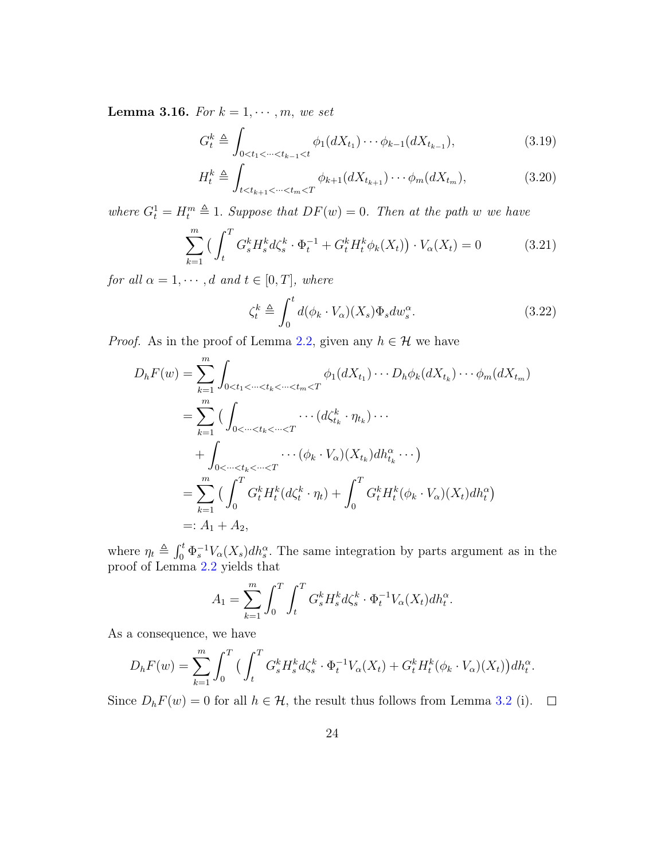**Lemma 3.16.** For  $k = 1, \dots, m$ , we set

<span id="page-23-0"></span>
$$
G_t^k \triangleq \int_{0 < t_1 < \dots < t_{k-1} < t} \phi_1(dX_{t_1}) \dots \phi_{k-1}(dX_{t_{k-1}}),\tag{3.19}
$$

$$
H_t^k \triangleq \int_{t < t_{k+1} < \dots < t_m < T} \phi_{k+1}(dX_{t_{k+1}}) \dots \phi_m(dX_{t_m}),\tag{3.20}
$$

where  $G_t^1 = H_t^m \triangleq 1$ . Suppose that  $DF(w) = 0$ . Then at the path w we have

<span id="page-23-3"></span>
$$
\sum_{k=1}^{m} \left( \int_{t}^{T} G_{s}^{k} H_{s}^{k} d\zeta_{s}^{k} \cdot \Phi_{t}^{-1} + G_{t}^{k} H_{t}^{k} \phi_{k}(X_{t}) \right) \cdot V_{\alpha}(X_{t}) = 0 \tag{3.21}
$$

for all  $\alpha = 1, \dots, d$  and  $t \in [0, T]$ , where

<span id="page-23-2"></span><span id="page-23-1"></span>
$$
\zeta_t^k \triangleq \int_0^t d(\phi_k \cdot V_\alpha)(X_s) \Phi_s dw_s^\alpha. \tag{3.22}
$$

*Proof.* As in the proof of Lemma [2.2,](#page-6-2) given any  $h \in \mathcal{H}$  we have

$$
D_{h}F(w) = \sum_{k=1}^{m} \int_{0 < t_{1} < \dots < t_{k} < \dots < t_{m} < T} \phi_{1}(dX_{t_{1}}) \dotsm D_{h} \phi_{k}(dX_{t_{k}}) \dotsm \phi_{m}(dX_{t_{m}})
$$
\n
$$
= \sum_{k=1}^{m} \Big( \int_{0 < \dots < t_{k} < \dots < T} \dotsm (d\zeta_{t_{k}}^{k} \cdot \eta_{t_{k}}) \dotsm \Big)
$$
\n
$$
+ \int_{0 < \dots < t_{k} < \dots < T} \dotsm (\phi_{k} \cdot V_{\alpha})(X_{t_{k}}) dh_{t_{k}}^{\alpha} \dotsm \Big)
$$
\n
$$
= \sum_{k=1}^{m} \Big( \int_{0}^{T} G_{t}^{k} H_{t}^{k}(d\zeta_{t}^{k} \cdot \eta_{t}) + \int_{0}^{T} G_{t}^{k} H_{t}^{k}(\phi_{k} \cdot V_{\alpha})(X_{t}) dh_{t}^{\alpha} \Big)
$$
\n
$$
=: A_{1} + A_{2},
$$

where  $\eta_t \triangleq \int_0^t \Phi_s^{-1} V_\alpha(X_s) dh_s^\alpha$ . The same integration by parts argument as in the proof of Lemma [2.2](#page-6-2) yields that

$$
A_1 = \sum_{k=1}^{m} \int_0^T \int_t^T G_s^k H_s^k d\zeta_s^k \cdot \Phi_t^{-1} V_\alpha(X_t) dh_t^\alpha.
$$

As a consequence, we have

$$
D_h F(w) = \sum_{k=1}^m \int_0^T \Big( \int_t^T G_s^k H_s^k d\zeta_s^k \cdot \Phi_t^{-1} V_\alpha(X_t) + G_t^k H_t^k (\phi_k \cdot V_\alpha)(X_t) \Big) dh_t^\alpha.
$$

Since  $D_h F(w) = 0$  for all  $h \in \mathcal{H}$ , the result thus follows from Lemma [3.2](#page-11-1) (i).  $\Box$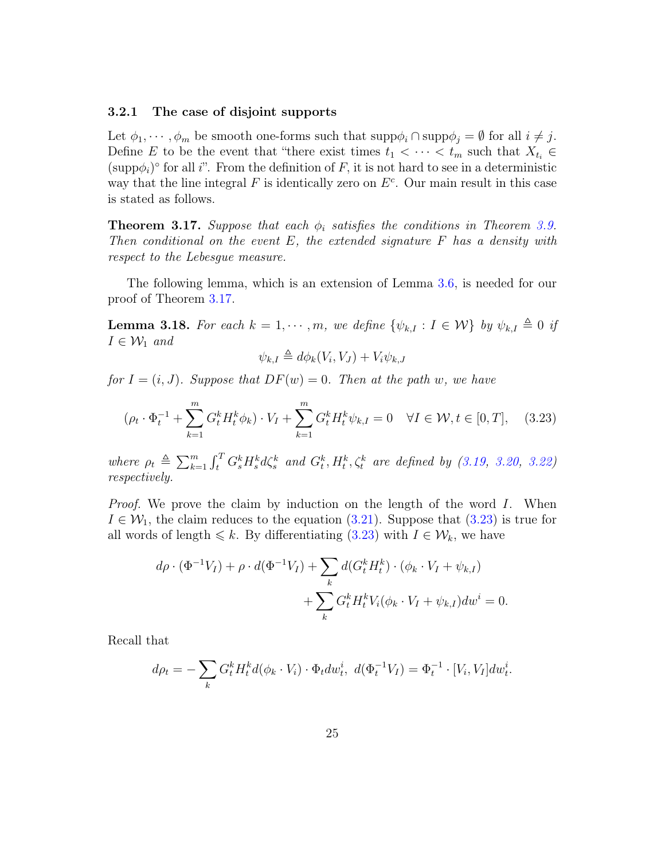#### 3.2.1 The case of disjoint supports

Let  $\phi_1, \dots, \phi_m$  be smooth one-forms such that  $\text{supp}\phi_i \cap \text{supp}\phi_j = \emptyset$  for all  $i \neq j$ . Define E to be the event that "there exist times  $t_1 < \cdots < t_m$  such that  $X_{t_i} \in$  $(\text{supp}\phi_i)^\circ$  for all i". From the definition of F, it is not hard to see in a deterministic way that the line integral  $F$  is identically zero on  $E<sup>c</sup>$ . Our main result in this case is stated as follows.

<span id="page-24-0"></span>**Theorem 3.17.** Suppose that each  $\phi_i$  satisfies the conditions in Theorem [3.9.](#page-16-0) Then conditional on the event  $E$ , the extended signature  $F$  has a density with respect to the Lebesgue measure.

The following lemma, which is an extension of Lemma [3.6,](#page-14-2) is needed for our proof of Theorem [3.17.](#page-24-0)

**Lemma 3.18.** For each  $k = 1, \dots, m$ , we define  $\{\psi_{k,I} : I \in \mathcal{W}\}\$  by  $\psi_{k,I} \triangleq 0$  if  $I \in \mathcal{W}_1$  and

$$
\psi_{k,I} \triangleq d\phi_k(V_i, V_J) + V_i \psi_{k,J}
$$

for  $I = (i, J)$ . Suppose that  $DF(w) = 0$ . Then at the path w, we have

<span id="page-24-1"></span>
$$
(\rho_t \cdot \Phi_t^{-1} + \sum_{k=1}^m G_t^k H_t^k \phi_k) \cdot V_I + \sum_{k=1}^m G_t^k H_t^k \psi_{k,I} = 0 \quad \forall I \in \mathcal{W}, t \in [0, T], \quad (3.23)
$$

where  $\rho_t \triangleq \sum_{k=1}^m \int_t^T G_s^k H_s^k d\zeta_s^k$  and  $G_t^k, H_t^k, \zeta_t^k$  are defined by [\(3.19,](#page-23-0) [3.20,](#page-23-1) [3.22\)](#page-23-2) respectively.

*Proof.* We prove the claim by induction on the length of the word  $I$ . When  $I \in \mathcal{W}_1$ , the claim reduces to the equation [\(3.21\)](#page-23-3). Suppose that [\(3.23\)](#page-24-1) is true for all words of length  $\leq k$ . By differentiating [\(3.23\)](#page-24-1) with  $I \in \mathcal{W}_k$ , we have

$$
d\rho \cdot (\Phi^{-1}V_I) + \rho \cdot d(\Phi^{-1}V_I) + \sum_k d(G_t^k H_t^k) \cdot (\phi_k \cdot V_I + \psi_{k,I}) + \sum_k G_t^k H_t^k V_i(\phi_k \cdot V_I + \psi_{k,I}) dw^i = 0.
$$

Recall that

$$
d\rho_t = -\sum_k G_t^k H_t^k d(\phi_k \cdot V_i) \cdot \Phi_t dw_t^i, \ d(\Phi_t^{-1} V_I) = \Phi_t^{-1} \cdot [V_i, V_I] dw_t^i.
$$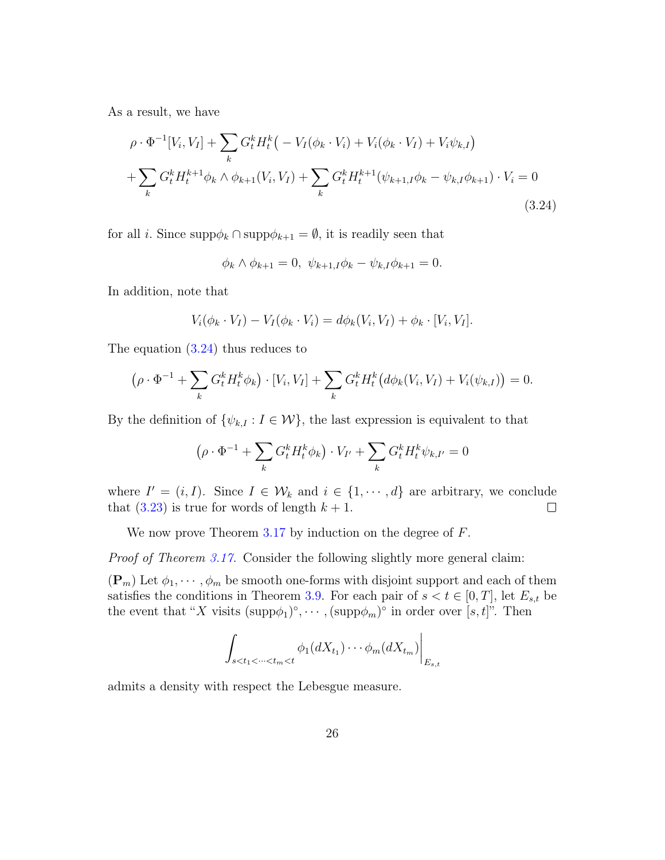As a result, we have

$$
\rho \cdot \Phi^{-1}[V_i, V_I] + \sum_k G_t^k H_t^k \left( -V_I(\phi_k \cdot V_i) + V_i(\phi_k \cdot V_I) + V_i \psi_{k,I} \right)
$$
  
+ 
$$
\sum_k G_t^k H_t^{k+1} \phi_k \wedge \phi_{k+1}(V_i, V_I) + \sum_k G_t^k H_t^{k+1} (\psi_{k+1,I} \phi_k - \psi_{k,I} \phi_{k+1}) \cdot V_i = 0
$$
  
(3.24)

for all *i*. Since  $\text{supp}\phi_k \cap \text{supp}\phi_{k+1} = \emptyset$ , it is readily seen that

<span id="page-25-0"></span>
$$
\phi_k \wedge \phi_{k+1} = 0, \ \psi_{k+1,I} \phi_k - \psi_{k,I} \phi_{k+1} = 0.
$$

In addition, note that

$$
V_i(\phi_k \cdot V_I) - V_I(\phi_k \cdot V_i) = d\phi_k(V_i, V_I) + \phi_k \cdot [V_i, V_I].
$$

The equation [\(3.24\)](#page-25-0) thus reduces to

$$
(\rho \cdot \Phi^{-1} + \sum_{k} G_{t}^{k} H_{t}^{k} \phi_{k}) \cdot [V_{i}, V_{I}] + \sum_{k} G_{t}^{k} H_{t}^{k} (d\phi_{k}(V_{i}, V_{I}) + V_{i}(\psi_{k,I})) = 0.
$$

By the definition of  $\{\psi_{k,I}: I \in \mathcal{W}\}\$ , the last expression is equivalent to that

$$
\left(\rho \cdot \Phi^{-1} + \sum_{k} G_t^k H_t^k \phi_k\right) \cdot V_{I'} + \sum_{k} G_t^k H_t^k \psi_{k,I'} = 0
$$

where  $I' = (i, I)$ . Since  $I \in \mathcal{W}_k$  and  $i \in \{1, \dots, d\}$  are arbitrary, we conclude that  $(3.23)$  is true for words of length  $k + 1$ .  $\Box$ 

We now prove Theorem [3.17](#page-24-0) by induction on the degree of F.

Proof of Theorem [3.17.](#page-24-0) Consider the following slightly more general claim:

 $(\mathbf{P}_m)$  Let  $\phi_1, \dots, \phi_m$  be smooth one-forms with disjoint support and each of them satisfies the conditions in Theorem [3.9.](#page-16-0) For each pair of  $s < t \in [0, T]$ , let  $E_{s,t}$  be the event that "X visits  $(\text{supp}\phi_1)^\circ, \cdots, (\text{supp}\phi_m)^\circ$  in order over  $[s, t]$ ". Then

$$
\left.\int_{s
$$

admits a density with respect the Lebesgue measure.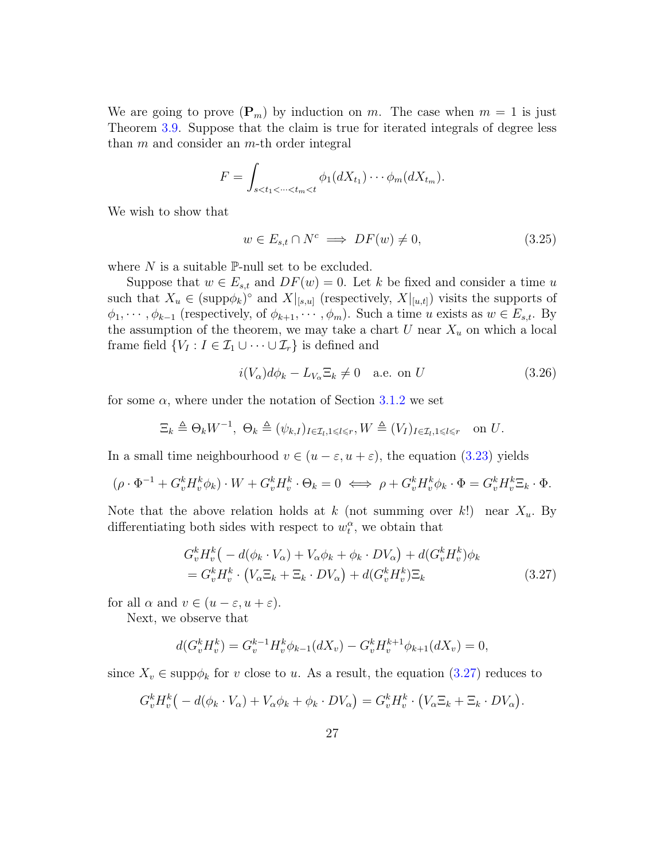We are going to prove  $(\mathbf{P}_m)$  by induction on m. The case when  $m = 1$  is just Theorem [3.9.](#page-16-0) Suppose that the claim is true for iterated integrals of degree less than  $m$  and consider an  $m$ -th order integral

$$
F = \int_{s < t_1 < \dots < t_m < t} \phi_1(dX_{t_1}) \dots \phi_m(dX_{t_m}).
$$

We wish to show that

<span id="page-26-2"></span>
$$
w \in E_{s,t} \cap N^c \implies DF(w) \neq 0,\tag{3.25}
$$

where  $N$  is a suitable  $\mathbb{P}\text{-null}$  set to be excluded.

Suppose that  $w \in E_{s,t}$  and  $DF(w) = 0$ . Let k be fixed and consider a time u such that  $X_u \in (\text{supp}\phi_k)^\circ$  and  $X|_{[s,u]}$  (respectively,  $X|_{[u,t]}$ ) visits the supports of  $\phi_1, \dots, \phi_{k-1}$  (respectively, of  $\phi_{k+1}, \dots, \phi_m$ ). Such a time u exists as  $w \in E_{s,t}$ . By the assumption of the theorem, we may take a chart  $U$  near  $X_u$  on which a local frame field  $\{V_I : I \in \mathcal{I}_1 \cup \cdots \cup \mathcal{I}_r\}$  is defined and

<span id="page-26-1"></span>
$$
i(V_{\alpha})d\phi_k - L_{V_{\alpha}}\Xi_k \neq 0 \quad \text{a.e. on } U \tag{3.26}
$$

for some  $\alpha$ , where under the notation of Section [3.1.2](#page-13-1) we set

$$
\Xi_k \triangleq \Theta_k W^{-1}, \ \Theta_k \triangleq (\psi_{k,I})_{I \in \mathcal{I}_l, 1 \leq l \leq r}, W \triangleq (V_I)_{I \in \mathcal{I}_l, 1 \leq l \leq r} \quad \text{on } U.
$$

In a small time neighbourhood  $v \in (u - \varepsilon, u + \varepsilon)$ , the equation [\(3.23\)](#page-24-1) yields

$$
(\rho \cdot \Phi^{-1} + G_v^k H_v^k \phi_k) \cdot W + G_v^k H_v^k \cdot \Theta_k = 0 \iff \rho + G_v^k H_v^k \phi_k \cdot \Phi = G_v^k H_v^k \Xi_k \cdot \Phi.
$$

Note that the above relation holds at k (not summing over k!) near  $X_u$ . By differentiating both sides with respect to  $w_t^{\alpha}$ , we obtain that

<span id="page-26-0"></span>
$$
G_v^k H_v^k \left( -d(\phi_k \cdot V_\alpha) + V_\alpha \phi_k + \phi_k \cdot DV_\alpha \right) + d(G_v^k H_v^k) \phi_k
$$
  
=  $G_v^k H_v^k \cdot \left( V_\alpha \Xi_k + \Xi_k \cdot DV_\alpha \right) + d(G_v^k H_v^k) \Xi_k$  (3.27)

for all  $\alpha$  and  $v \in (u - \varepsilon, u + \varepsilon)$ .

Next, we observe that

$$
d(G_v^k H_v^k) = G_v^{k-1} H_v^k \phi_{k-1}(dX_v) - G_v^k H_v^{k+1} \phi_{k+1}(dX_v) = 0,
$$

since  $X_v \in \text{supp}\phi_k$  for v close to u. As a result, the equation  $(3.27)$  reduces to

$$
G_v^k H_v^k \big( -d(\phi_k \cdot V_\alpha) + V_\alpha \phi_k + \phi_k \cdot DV_\alpha \big) = G_v^k H_v^k \cdot \big( V_\alpha \Xi_k + \Xi_k \cdot DV_\alpha \big).
$$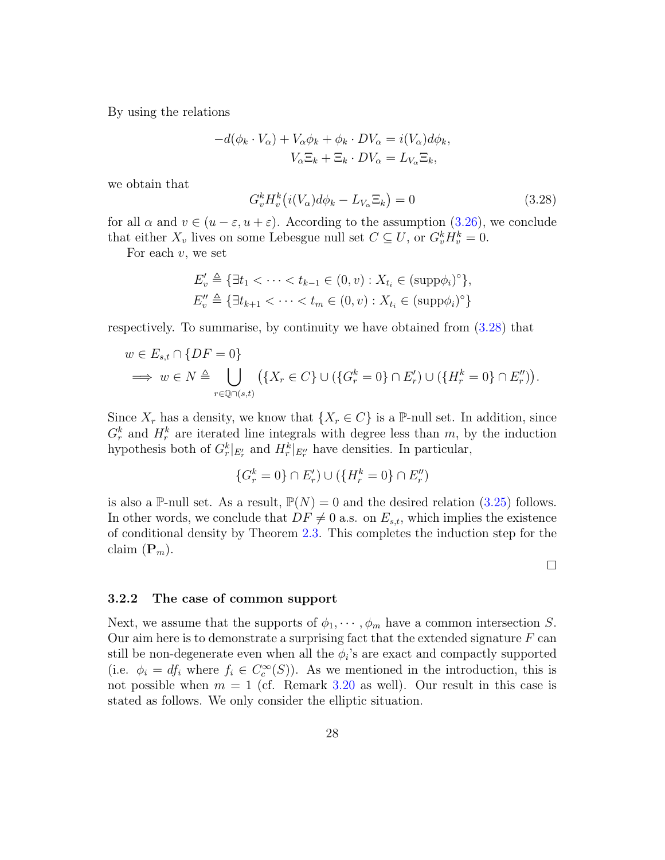By using the relations

$$
-d(\phi_k \cdot V_\alpha) + V_\alpha \phi_k + \phi_k \cdot DV_\alpha = i(V_\alpha)d\phi_k,
$$
  

$$
V_\alpha \Xi_k + \Xi_k \cdot DV_\alpha = L_{V_\alpha} \Xi_k,
$$

we obtain that

<span id="page-27-0"></span>
$$
G_v^k H_v^k \big( i(V_\alpha) d\phi_k - L_{V_\alpha} \Xi_k \big) = 0 \tag{3.28}
$$

for all  $\alpha$  and  $v \in (u - \varepsilon, u + \varepsilon)$ . According to the assumption [\(3.26\)](#page-26-1), we conclude that either  $X_v$  lives on some Lebesgue null set  $C \subseteq U$ , or  $G_v^k H_v^k = 0$ .

For each  $v$ , we set

$$
E'_{v} \triangleq \{ \exists t_{1} < \cdots < t_{k-1} \in (0, v) : X_{t_{i}} \in (\text{supp}\phi_{i})^{\circ} \},
$$
  

$$
E''_{v} \triangleq \{ \exists t_{k+1} < \cdots < t_{m} \in (0, v) : X_{t_{i}} \in (\text{supp}\phi_{i})^{\circ} \}
$$

respectively. To summarise, by continuity we have obtained from [\(3.28\)](#page-27-0) that

$$
w \in E_{s,t} \cap \{DF = 0\}
$$
  
\n
$$
\implies w \in N \triangleq \bigcup_{r \in \mathbb{Q} \cap (s,t)} (\{X_r \in C\} \cup (\{G_r^k = 0\} \cap E'_r) \cup (\{H_r^k = 0\} \cap E''_r)).
$$

Since  $X_r$  has a density, we know that  $\{X_r \in C\}$  is a P-null set. In addition, since  $G_r^k$  and  $H_r^k$  are iterated line integrals with degree less than m, by the induction hypothesis both of  $G_r^k|_{E_r'}$  and  $H_r^k|_{E_r''}$  have densities. In particular,

$$
\{G_r^k = 0\} \cap E'_r) \cup (\{H_r^k = 0\} \cap E''_r)
$$

is also a P-null set. As a result,  $\mathbb{P}(N) = 0$  and the desired relation [\(3.25\)](#page-26-2) follows. In other words, we conclude that  $DF \neq 0$  a.s. on  $E_{s,t}$ , which implies the existence of conditional density by Theorem [2.3.](#page-8-0) This completes the induction step for the claim  $(\mathbf{P}_m)$ .

 $\Box$ 

#### 3.2.2 The case of common support

Next, we assume that the supports of  $\phi_1, \dots, \phi_m$  have a common intersection S. Our aim here is to demonstrate a surprising fact that the extended signature  $F$  can still be non-degenerate even when all the  $\phi_i$ 's are exact and compactly supported (i.e.  $\phi_i = df_i$  where  $f_i \in C_c^{\infty}(S)$ ). As we mentioned in the introduction, this is not possible when  $m = 1$  (cf. Remark [3.20](#page-29-0) as well). Our result in this case is stated as follows. We only consider the elliptic situation.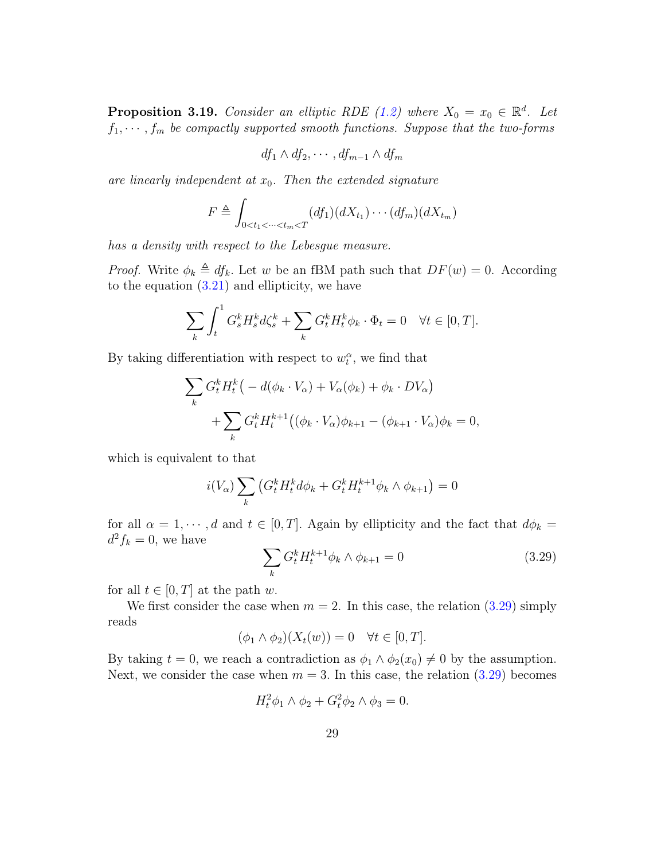**Proposition 3.19.** Consider an elliptic RDE [\(1.2\)](#page-2-0) where  $X_0 = x_0 \in \mathbb{R}^d$ . Let  $f_1, \dots, f_m$  be compactly supported smooth functions. Suppose that the two-forms

$$
df_1 \wedge df_2, \cdots, df_{m-1} \wedge df_m
$$

are linearly independent at  $x_0$ . Then the extended signature

$$
F \triangleq \int_{0 < t_1 < \dots < t_m < T} (df_1)(dX_{t_1}) \dots (df_m)(dX_{t_m})
$$

has a density with respect to the Lebesgue measure.

*Proof.* Write  $\phi_k \triangleq df_k$ . Let w be an fBM path such that  $DF(w) = 0$ . According to the equation  $(3.21)$  and ellipticity, we have

$$
\sum_{k} \int_{t}^{1} G_s^k H_s^k d\zeta_s^k + \sum_{k} G_t^k H_t^k \phi_k \cdot \Phi_t = 0 \quad \forall t \in [0, T].
$$

By taking differentiation with respect to  $w_t^{\alpha}$ , we find that

$$
\sum_{k} G_t^k H_t^k \big( -d(\phi_k \cdot V_\alpha) + V_\alpha(\phi_k) + \phi_k \cdot DV_\alpha \big)
$$
  
+ 
$$
\sum_{k} G_t^k H_t^{k+1} \big( (\phi_k \cdot V_\alpha) \phi_{k+1} - (\phi_{k+1} \cdot V_\alpha) \phi_k = 0,
$$

which is equivalent to that

$$
i(V_{\alpha})\sum_{k} \left(G_{t}^{k} H_{t}^{k} d\phi_{k} + G_{t}^{k} H_{t}^{k+1} \phi_{k} \wedge \phi_{k+1}\right) = 0
$$

for all  $\alpha = 1, \dots, d$  and  $t \in [0, T]$ . Again by ellipticity and the fact that  $d\phi_k =$  $d^2f_k=0$ , we have

<span id="page-28-0"></span>
$$
\sum_{k} G_{t}^{k} H_{t}^{k+1} \phi_{k} \wedge \phi_{k+1} = 0 \qquad (3.29)
$$

for all  $t \in [0, T]$  at the path w.

We first consider the case when  $m = 2$ . In this case, the relation [\(3.29\)](#page-28-0) simply reads

$$
(\phi_1 \wedge \phi_2)(X_t(w)) = 0 \quad \forall t \in [0, T].
$$

By taking  $t = 0$ , we reach a contradiction as  $\phi_1 \wedge \phi_2(x_0) \neq 0$  by the assumption. Next, we consider the case when  $m = 3$ . In this case, the relation  $(3.29)$  becomes

$$
H_t^2 \phi_1 \wedge \phi_2 + G_t^2 \phi_2 \wedge \phi_3 = 0.
$$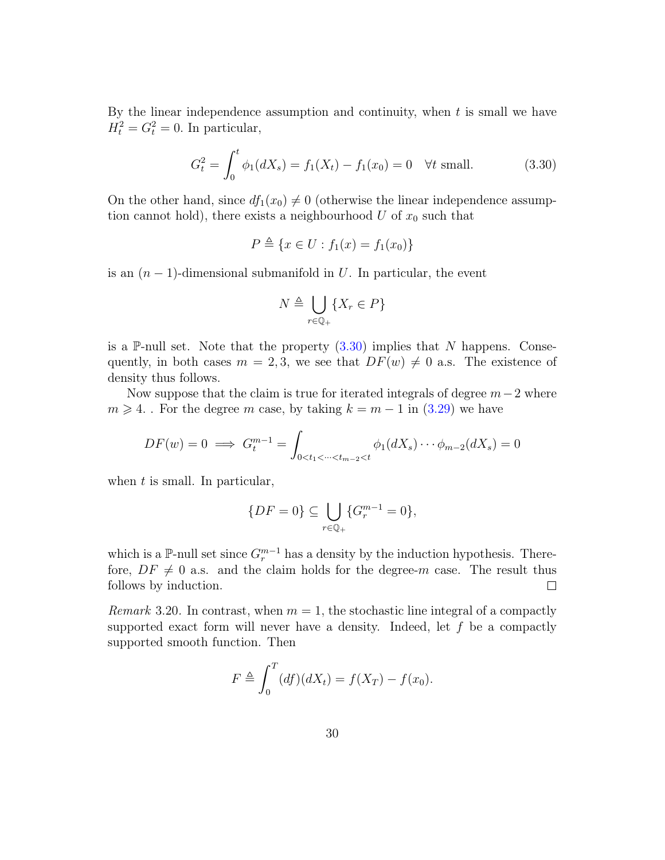By the linear independence assumption and continuity, when  $t$  is small we have  $H_t^2 = G_t^2 = 0$ . In particular,

<span id="page-29-1"></span>
$$
G_t^2 = \int_0^t \phi_1(dX_s) = f_1(X_t) - f_1(x_0) = 0 \quad \forall t \text{ small.} \tag{3.30}
$$

On the other hand, since  $df_1(x_0) \neq 0$  (otherwise the linear independence assumption cannot hold), there exists a neighbourhood U of  $x_0$  such that

$$
P \triangleq \{ x \in U : f_1(x) = f_1(x_0) \}
$$

is an  $(n-1)$ -dimensional submanifold in U. In particular, the event

$$
N \triangleq \bigcup_{r \in \mathbb{Q}_+} \{ X_r \in P \}
$$

is a P-null set. Note that the property  $(3.30)$  implies that N happens. Consequently, in both cases  $m = 2, 3$ , we see that  $DF(w) \neq 0$  a.s. The existence of density thus follows.

Now suppose that the claim is true for iterated integrals of degree  $m-2$  where  $m \geq 4$ . For the degree m case, by taking  $k = m - 1$  in  $(3.29)$  we have

$$
DF(w) = 0 \implies G_t^{m-1} = \int_{0 < t_1 < \dots < t_{m-2} < t} \phi_1(dX_s) \dots \phi_{m-2}(dX_s) = 0
$$

when  $t$  is small. In particular,

$$
\{DF = 0\} \subseteq \bigcup_{r \in \mathbb{Q}_+} \{G_r^{m-1} = 0\},\
$$

which is a P-null set since  $G_r^{m-1}$  has a density by the induction hypothesis. Therefore,  $DF \neq 0$  a.s. and the claim holds for the degree-m case. The result thus follows by induction.  $\Box$ 

<span id="page-29-0"></span>*Remark* 3.20. In contrast, when  $m = 1$ , the stochastic line integral of a compactly supported exact form will never have a density. Indeed, let  $f$  be a compactly supported smooth function. Then

$$
F \triangleq \int_0^T (df)(dX_t) = f(X_T) - f(x_0).
$$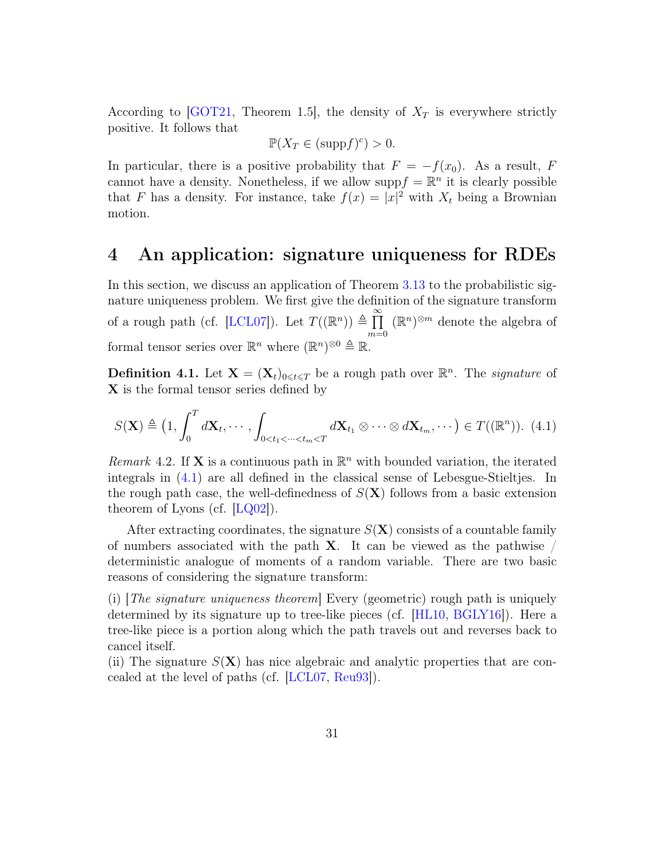According to  $\text{GOT21}$ , Theorem 1.5, the density of  $X_T$  is everywhere strictly positive. It follows that

$$
\mathbb{P}(X_T \in (\mathrm{supp}f)^c) > 0.
$$

In particular, there is a positive probability that  $F = -f(x_0)$ . As a result, F cannot have a density. Nonetheless, if we allow supp $f = \mathbb{R}^n$  it is clearly possible that F has a density. For instance, take  $f(x) = |x|^2$  with  $X_t$  being a Brownian motion.

### <span id="page-30-0"></span>4 An application: signature uniqueness for RDEs

In this section, we discuss an application of Theorem [3.13](#page-20-0) to the probabilistic signature uniqueness problem. We first give the definition of the signature transform of a rough path (cf. [\[LCL07\]](#page-36-8)). Let  $T((\mathbb{R}^n)) \triangleq \prod_{n=1}^{\infty}$  $m=0$  $(\mathbb{R}^n)^{\otimes m}$  denote the algebra of formal tensor series over  $\mathbb{R}^n$  where  $(\mathbb{R}^n)^{\otimes 0} \triangleq \mathbb{R}$ .

**Definition 4.1.** Let  $\mathbf{X} = (\mathbf{X}_t)_{0 \leq t \leq T}$  be a rough path over  $\mathbb{R}^n$ . The *signature* of X is the formal tensor series defined by

<span id="page-30-1"></span>
$$
S(\mathbf{X}) \triangleq \left(1, \int_0^T d\mathbf{X}_t, \cdots, \int_{0 < t_1 < \cdots < t_m < T} d\mathbf{X}_{t_1} \otimes \cdots \otimes d\mathbf{X}_{t_m}, \cdots \right) \in T((\mathbb{R}^n)). \tag{4.1}
$$

Remark 4.2. If **X** is a continuous path in  $\mathbb{R}^n$  with bounded variation, the iterated integrals in [\(4.1\)](#page-30-1) are all defined in the classical sense of Lebesgue-Stieltjes. In the rough path case, the well-definedness of  $S(X)$  follows from a basic extension theorem of Lyons (cf.  $[LQ02]$ ).

After extracting coordinates, the signature  $S(\mathbf{X})$  consists of a countable family of numbers associated with the path  $X$ . It can be viewed as the pathwise / deterministic analogue of moments of a random variable. There are two basic reasons of considering the signature transform:

(i)  $The signature uniqueness theorem$  Every (geometric) rough path is uniquely determined by its signature up to tree-like pieces (cf. [\[HL10,](#page-35-2) [BGLY16\]](#page-35-3)). Here a tree-like piece is a portion along which the path travels out and reverses back to cancel itself.

(ii) The signature  $S(X)$  has nice algebraic and analytic properties that are concealed at the level of paths (cf. [\[LCL07,](#page-36-8) [Reu93\]](#page-36-9)).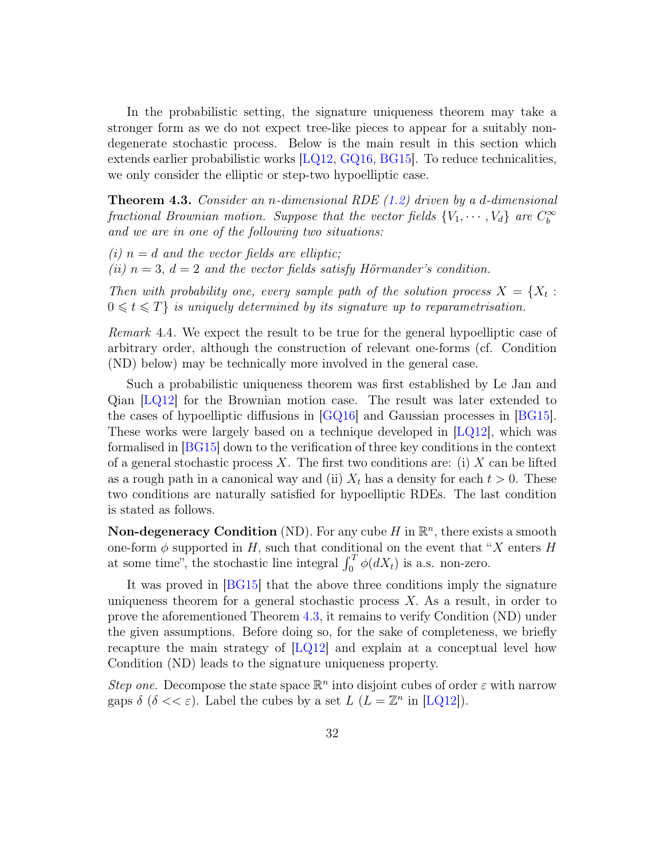In the probabilistic setting, the signature uniqueness theorem may take a stronger form as we do not expect tree-like pieces to appear for a suitably nondegenerate stochastic process. Below is the main result in this section which extends earlier probabilistic works [\[LQ12,](#page-36-1) [GQ16,](#page-35-10) [BG15\]](#page-35-11). To reduce technicalities, we only consider the elliptic or step-two hypoelliptic case.

<span id="page-31-0"></span>**Theorem 4.3.** Consider an *n*-dimensional RDE  $(1.2)$  driven by a d-dimensional fractional Brownian motion. Suppose that the vector fields  $\{V_1, \cdots, V_d\}$  are  $C_b^{\infty}$ and we are in one of the following two situations:

(i)  $n = d$  and the vector fields are elliptic; (ii)  $n = 3$ ,  $d = 2$  and the vector fields satisfy Hörmander's condition.

Then with probability one, every sample path of the solution process  $X = \{X_t :$  $0 \leq t \leq T$  is uniquely determined by its signature up to reparametrisation.

Remark 4.4. We expect the result to be true for the general hypoelliptic case of arbitrary order, although the construction of relevant one-forms (cf. Condition (ND) below) may be technically more involved in the general case.

Such a probabilistic uniqueness theorem was first established by Le Jan and Qian [\[LQ12\]](#page-36-1) for the Brownian motion case. The result was later extended to the cases of hypoelliptic diffusions in [\[GQ16\]](#page-35-10) and Gaussian processes in [\[BG15\]](#page-35-11). These works were largely based on a technique developed in  $[LQ12]$ , which was formalised in [\[BG15\]](#page-35-11) down to the verification of three key conditions in the context of a general stochastic process X. The first two conditions are: (i) X can be lifted as a rough path in a canonical way and (ii)  $X_t$  has a density for each  $t > 0$ . These two conditions are naturally satisfied for hypoelliptic RDEs. The last condition is stated as follows.

**Non-degeneracy Condition** (ND). For any cube  $H$  in  $\mathbb{R}^n$ , there exists a smooth one-form  $\phi$  supported in H, such that conditional on the event that "X enters H at some time", the stochastic line integral  $\int_0^T \phi(dX_t)$  is a.s. non-zero.

It was proved in [\[BG15\]](#page-35-11) that the above three conditions imply the signature uniqueness theorem for a general stochastic process  $X$ . As a result, in order to prove the aforementioned Theorem [4.3,](#page-31-0) it remains to verify Condition (ND) under the given assumptions. Before doing so, for the sake of completeness, we briefly recapture the main strategy of  $|LQ12|$  and explain at a conceptual level how Condition (ND) leads to the signature uniqueness property.

Step one. Decompose the state space  $\mathbb{R}^n$  into disjoint cubes of order  $\varepsilon$  with narrow gaps  $\delta$  ( $\delta \ll \varepsilon$ ). Label the cubes by a set  $L$  ( $L = \mathbb{Z}^n$  in [\[LQ12\]](#page-36-1)).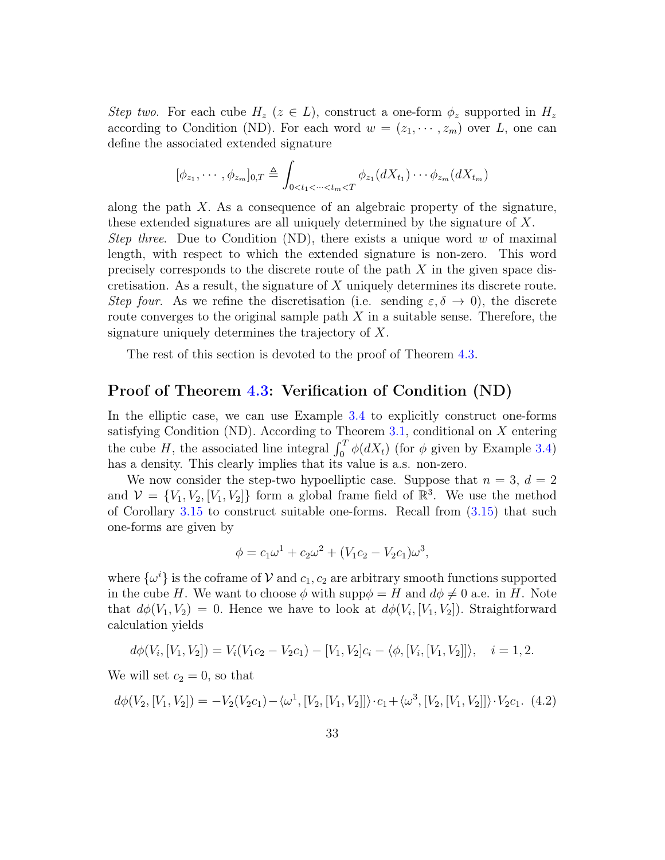Step two. For each cube  $H_z$  ( $z \in L$ ), construct a one-form  $\phi_z$  supported in  $H_z$ according to Condition (ND). For each word  $w = (z_1, \dots, z_m)$  over L, one can define the associated extended signature

$$
[\phi_{z_1},\cdots,\phi_{z_m}]_{0,T} \triangleq \int_{0
$$

along the path  $X$ . As a consequence of an algebraic property of the signature, these extended signatures are all uniquely determined by the signature of X. Step three. Due to Condition (ND), there exists a unique word w of maximal length, with respect to which the extended signature is non-zero. This word precisely corresponds to the discrete route of the path X in the given space discretisation. As a result, the signature of X uniquely determines its discrete route. Step four. As we refine the discretisation (i.e. sending  $\varepsilon, \delta \to 0$ ), the discrete route converges to the original sample path  $X$  in a suitable sense. Therefore, the signature uniquely determines the trajectory of X.

The rest of this section is devoted to the proof of Theorem [4.3.](#page-31-0)

#### Proof of Theorem [4.3:](#page-31-0) Verification of Condition (ND)

In the elliptic case, we can use Example [3.4](#page-12-2) to explicitly construct one-forms satisfying Condition (ND). According to Theorem  $3.1$ , conditional on X entering the cube H, the associated line integral  $\int_0^T \phi(dX_t)$  (for  $\phi$  given by Example [3.4\)](#page-12-2) has a density. This clearly implies that its value is a.s. non-zero.

We now consider the step-two hypoelliptic case. Suppose that  $n = 3$ ,  $d = 2$ and  $\mathcal{V} = \{V_1, V_2, [V_1, V_2]\}$  form a global frame field of  $\mathbb{R}^3$ . We use the method of Corollary [3.15](#page-21-0) to construct suitable one-forms. Recall from [\(3.15\)](#page-21-1) that such one-forms are given by

$$
\phi = c_1 \omega^1 + c_2 \omega^2 + (V_1 c_2 - V_2 c_1) \omega^3,
$$

where  $\{\omega^i\}$  is the coframe of  $\mathcal V$  and  $c_1, c_2$  are arbitrary smooth functions supported in the cube H. We want to choose  $\phi$  with supp $\phi = H$  and  $d\phi \neq 0$  a.e. in H. Note that  $d\phi(V_1, V_2) = 0$ . Hence we have to look at  $d\phi(V_i, [V_1, V_2])$ . Straightforward calculation yields

$$
d\phi(V_i, [V_1, V_2]) = V_i(V_1c_2 - V_2c_1) - [V_1, V_2]c_i - \langle \phi, [V_i, [V_1, V_2]] \rangle, \quad i = 1, 2.
$$

We will set  $c_2 = 0$ , so that

<span id="page-32-0"></span>
$$
d\phi(V_2, [V_1, V_2]) = -V_2(V_2c_1) - \langle \omega^1, [V_2, [V_1, V_2]] \rangle \cdot c_1 + \langle \omega^3, [V_2, [V_1, V_2]] \rangle \cdot V_2c_1. \tag{4.2}
$$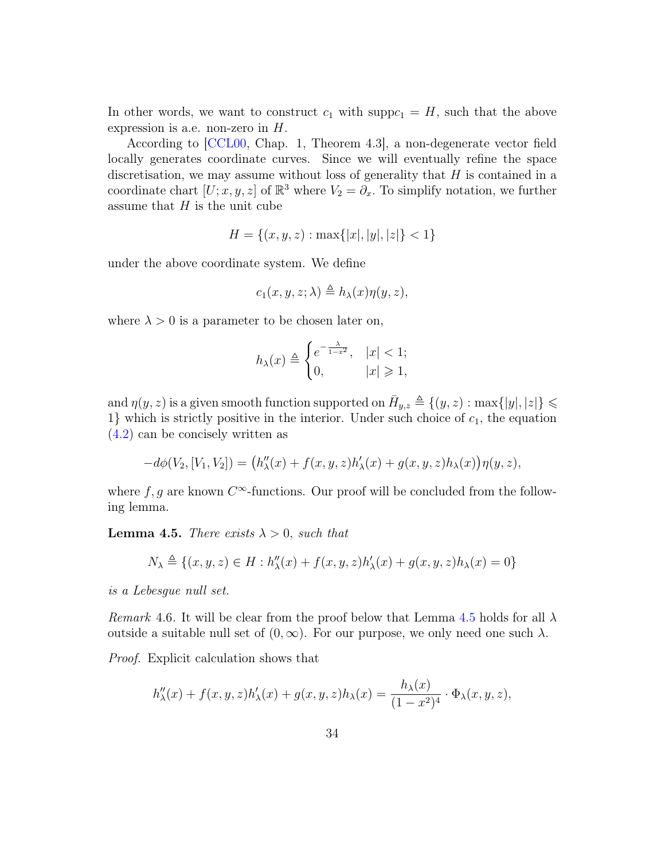In other words, we want to construct  $c_1$  with supp $c_1 = H$ , such that the above expression is a.e. non-zero in  $H$ .

According to [\[CCL00,](#page-35-7) Chap. 1, Theorem 4.3], a non-degenerate vector field locally generates coordinate curves. Since we will eventually refine the space discretisation, we may assume without loss of generality that  $H$  is contained in a coordinate chart  $[U; x, y, z]$  of  $\mathbb{R}^3$  where  $V_2 = \partial_x$ . To simplify notation, we further assume that  $H$  is the unit cube

$$
H = \{(x, y, z) : \max\{|x|, |y|, |z|\} < 1\}
$$

under the above coordinate system. We define

$$
c_1(x, y, z; \lambda) \triangleq h_{\lambda}(x)\eta(y, z),
$$

where  $\lambda > 0$  is a parameter to be chosen later on,

$$
h_{\lambda}(x) \triangleq \begin{cases} e^{-\frac{\lambda}{1-x^2}}, & |x| < 1; \\ 0, & |x| \geq 1, \end{cases}
$$

and  $\eta(y, z)$  is a given smooth function supported on  $\bar{H}_{y,z} \triangleq \{(y, z) : \max\{|y|, |z|\} \leq$ 1} which is strictly positive in the interior. Under such choice of  $c_1$ , the equation [\(4.2\)](#page-32-0) can be concisely written as

$$
-d\phi(V_2,[V_1,V_2]) = (h''_{\lambda}(x) + f(x,y,z)h'_{\lambda}(x) + g(x,y,z)h_{\lambda}(x))\eta(y,z),
$$

where  $f, g$  are known  $C^{\infty}$ -functions. Our proof will be concluded from the following lemma.

<span id="page-33-0"></span>**Lemma 4.5.** There exists  $\lambda > 0$ , such that

$$
N_\lambda \triangleq \{(x,y,z) \in H: h''_\lambda(x) + f(x,y,z)h'_\lambda(x) + g(x,y,z)h_\lambda(x) = 0\}
$$

is a Lebesgue null set.

Remark 4.6. It will be clear from the proof below that Lemma [4.5](#page-33-0) holds for all  $\lambda$ outside a suitable null set of  $(0, \infty)$ . For our purpose, we only need one such  $\lambda$ .

Proof. Explicit calculation shows that

$$
h''_{\lambda}(x) + f(x, y, z)h'_{\lambda}(x) + g(x, y, z)h_{\lambda}(x) = \frac{h_{\lambda}(x)}{(1 - x^{2})^{4}} \cdot \Phi_{\lambda}(x, y, z),
$$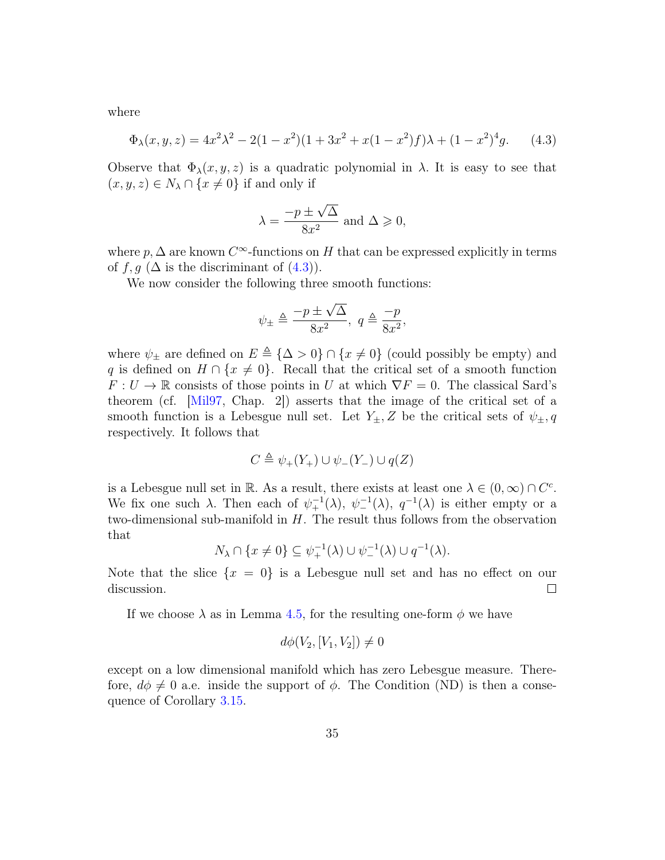where

<span id="page-34-0"></span>
$$
\Phi_{\lambda}(x, y, z) = 4x^2\lambda^2 - 2(1 - x^2)(1 + 3x^2 + x(1 - x^2)f)\lambda + (1 - x^2)^4 g.
$$
 (4.3)

Observe that  $\Phi_{\lambda}(x, y, z)$  is a quadratic polynomial in  $\lambda$ . It is easy to see that  $(x, y, z) \in N_\lambda \cap \{x \neq 0\}$  if and only if

$$
\lambda = \frac{-p \pm \sqrt{\Delta}}{8x^2}
$$
 and  $\Delta \ge 0$ ,

where  $p, \Delta$  are known  $C^{\infty}$ -functions on H that can be expressed explicitly in terms of  $f, g$  ( $\Delta$  is the discriminant of  $(4.3)$ ).

We now consider the following three smooth functions:

$$
\psi_{\pm} \triangleq \frac{-p \pm \sqrt{\Delta}}{8x^2}, \ q \triangleq \frac{-p}{8x^2},
$$

where  $\psi_{\pm}$  are defined on  $E \triangleq {\{\Delta > 0\}} \cap {x \neq 0}$  (could possibly be empty) and q is defined on  $H \cap \{x \neq 0\}$ . Recall that the critical set of a smooth function  $F: U \to \mathbb{R}$  consists of those points in U at which  $\nabla F = 0$ . The classical Sard's theorem (cf. [\[Mil97,](#page-36-10) Chap. 2]) asserts that the image of the critical set of a smooth function is a Lebesgue null set. Let  $Y_{\pm}$ , Z be the critical sets of  $\psi_{\pm}$ , q respectively. It follows that

$$
C \triangleq \psi_+(Y_+) \cup \psi_-(Y_-) \cup q(Z)
$$

is a Lebesgue null set in R. As a result, there exists at least one  $\lambda \in (0, \infty) \cap C^c$ . We fix one such  $\lambda$ . Then each of  $\psi_+^{-1}(\lambda)$ ,  $\psi_-^{-1}(\lambda)$ ,  $q^{-1}(\lambda)$  is either empty or a two-dimensional sub-manifold in  $H$ . The result thus follows from the observation that

$$
N_{\lambda} \cap \{x \neq 0\} \subseteq \psi_{+}^{-1}(\lambda) \cup \psi_{-}^{-1}(\lambda) \cup q^{-1}(\lambda).
$$

Note that the slice  $\{x = 0\}$  is a Lebesgue null set and has no effect on our discussion.  $\Box$ 

If we choose  $\lambda$  as in Lemma [4.5,](#page-33-0) for the resulting one-form  $\phi$  we have

$$
d\phi(V_2,[V_1,V_2])\neq 0
$$

except on a low dimensional manifold which has zero Lebesgue measure. Therefore,  $d\phi \neq 0$  a.e. inside the support of  $\phi$ . The Condition (ND) is then a consequence of Corollary [3.15.](#page-21-0)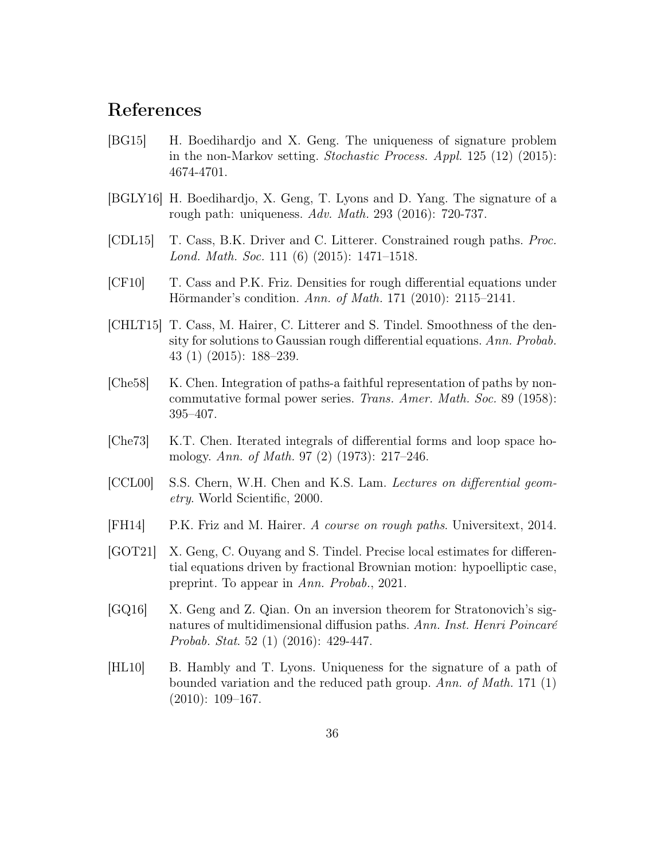## References

- <span id="page-35-11"></span>[BG15] H. Boedihardjo and X. Geng. The uniqueness of signature problem in the non-Markov setting. Stochastic Process. Appl. 125 (12) (2015): 4674-4701.
- <span id="page-35-3"></span>[BGLY16] H. Boedihardjo, X. Geng, T. Lyons and D. Yang. The signature of a rough path: uniqueness. Adv. Math. 293 (2016): 720-737.
- <span id="page-35-0"></span>[CDL15] T. Cass, B.K. Driver and C. Litterer. Constrained rough paths. Proc. Lond. Math. Soc. 111 (6) (2015): 1471–1518.
- <span id="page-35-8"></span>[CF10] T. Cass and P.K. Friz. Densities for rough differential equations under Hörmander's condition. Ann. of Math. 171 (2010): 2115–2141.
- <span id="page-35-5"></span>[CHLT15] T. Cass, M. Hairer, C. Litterer and S. Tindel. Smoothness of the density for solutions to Gaussian rough differential equations. Ann. Probab. 43 (1) (2015): 188–239.
- <span id="page-35-1"></span>[Che58] K. Chen. Integration of paths-a faithful representation of paths by noncommutative formal power series. Trans. Amer. Math. Soc. 89 (1958): 395–407.
- <span id="page-35-4"></span>[Che73] K.T. Chen. Iterated integrals of differential forms and loop space homology. Ann. of Math. 97 (2) (1973): 217–246.
- <span id="page-35-7"></span>[CCL00] S.S. Chern, W.H. Chen and K.S. Lam. Lectures on differential geometry. World Scientific, 2000.
- <span id="page-35-6"></span>[FH14] P.K. Friz and M. Hairer. A course on rough paths. Universitext, 2014.
- <span id="page-35-9"></span>[GOT21] X. Geng, C. Ouyang and S. Tindel. Precise local estimates for differential equations driven by fractional Brownian motion: hypoelliptic case, preprint. To appear in Ann. Probab., 2021.
- <span id="page-35-10"></span>[GQ16] X. Geng and Z. Qian. On an inversion theorem for Stratonovich's signatures of multidimensional diffusion paths. Ann. Inst. Henri Poincaré Probab. Stat. 52 (1) (2016): 429-447.
- <span id="page-35-2"></span>[HL10] B. Hambly and T. Lyons. Uniqueness for the signature of a path of bounded variation and the reduced path group. Ann. of Math. 171 (1)  $(2010): 109-167.$